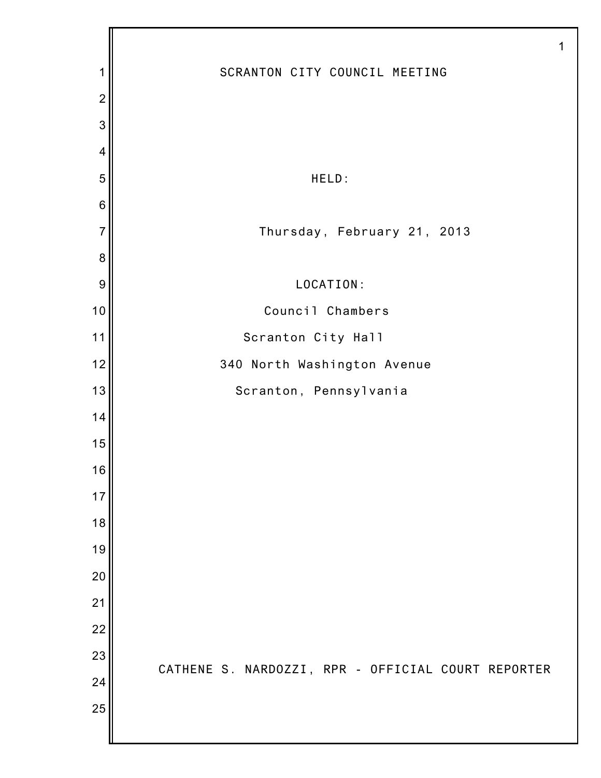|                |                                                    | 1 |
|----------------|----------------------------------------------------|---|
| 1              | SCRANTON CITY COUNCIL MEETING                      |   |
| $\overline{2}$ |                                                    |   |
| 3              |                                                    |   |
| $\overline{4}$ |                                                    |   |
| 5              | HELD:                                              |   |
| $\,6$          |                                                    |   |
| $\overline{7}$ | Thursday, February 21, 2013                        |   |
| $\bf 8$        |                                                    |   |
| 9              | LOCATION:                                          |   |
| 10             | Council Chambers                                   |   |
| 11             | Scranton City Hall                                 |   |
| 12             | 340 North Washington Avenue                        |   |
| 13             | Scranton, Pennsylvania                             |   |
| 14             |                                                    |   |
| 15             |                                                    |   |
| 16             |                                                    |   |
| 17             |                                                    |   |
| 18             |                                                    |   |
| 19             |                                                    |   |
| 20             |                                                    |   |
| 21             |                                                    |   |
| 22             |                                                    |   |
| 23             | CATHENE S. NARDOZZI, RPR - OFFICIAL COURT REPORTER |   |
| 24             |                                                    |   |
| 25             |                                                    |   |
|                |                                                    |   |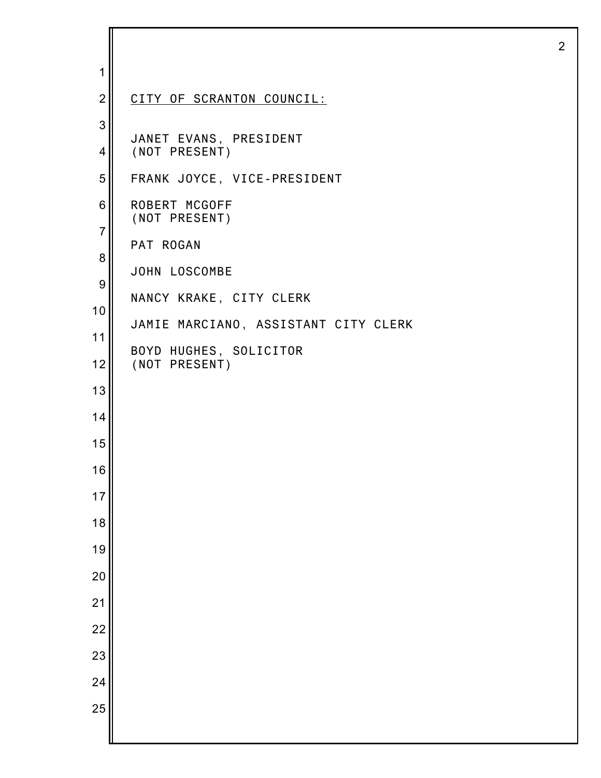| 1                   |                                         |
|---------------------|-----------------------------------------|
| $\overline{2}$      | CITY OF SCRANTON COUNCIL:               |
| $\mathbf{3}$        |                                         |
| $\overline{4}$      | JANET EVANS, PRESIDENT<br>(NOT PRESENT) |
| 5                   | FRANK JOYCE, VICE-PRESIDENT             |
| $\,6$               | ROBERT MCGOFF<br>(NOT PRESENT)          |
| $\overline{7}$<br>8 | PAT ROGAN                               |
| $\boldsymbol{9}$    | JOHN LOSCOMBE                           |
| 10                  | NANCY KRAKE, CITY CLERK                 |
| 11                  | JAMIE MARCIANO, ASSISTANT CITY CLERK    |
| 12                  | BOYD HUGHES, SOLICITOR<br>(NOT PRESENT) |
| 13                  |                                         |
| 14                  |                                         |
| 15                  |                                         |
| 16                  |                                         |
| 17                  |                                         |
| 18                  |                                         |
| 19                  |                                         |
| 20                  |                                         |
| 21                  |                                         |
| 22                  |                                         |
| 23                  |                                         |
| 24                  |                                         |
| 25                  |                                         |
|                     |                                         |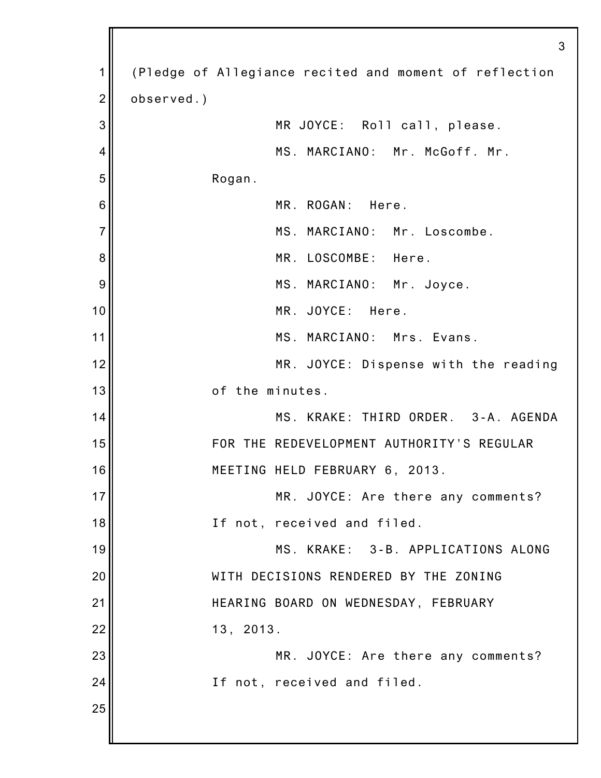|                | 3                                                      |
|----------------|--------------------------------------------------------|
| 1              | (Pledge of Allegiance recited and moment of reflection |
| $\overline{2}$ | observed.)                                             |
| 3              | MR JOYCE: Roll call, please.                           |
| 4              | MS. MARCIANO: Mr. McGoff. Mr.                          |
| 5              | Rogan.                                                 |
| 6              | MR. ROGAN: Here.                                       |
| $\overline{7}$ | MS. MARCIANO: Mr. Loscombe.                            |
| 8              | MR. LOSCOMBE: Here.                                    |
| 9              | MS. MARCIANO: Mr. Joyce.                               |
| 10             | MR. JOYCE: Here.                                       |
| 11             | MS. MARCIANO: Mrs. Evans.                              |
| 12             | MR. JOYCE: Dispense with the reading                   |
| 13             | of the minutes.                                        |
| 14             | MS. KRAKE: THIRD ORDER. 3-A. AGENDA                    |
| 15             | FOR THE REDEVELOPMENT AUTHORITY'S REGULAR              |
| 16             | MEETING HELD FEBRUARY 6, 2013.                         |
| 17             | MR. JOYCE: Are there any comments?                     |
| 18             | If not, received and filed.                            |
| 19             | MS. KRAKE: 3-B. APPLICATIONS ALONG                     |
| 20             | WITH DECISIONS RENDERED BY THE ZONING                  |
| 21             | HEARING BOARD ON WEDNESDAY, FEBRUARY                   |
| 22             | 13, 2013.                                              |
| 23             | MR. JOYCE: Are there any comments?                     |
| 24             | If not, received and filed.                            |
| 25             |                                                        |
|                |                                                        |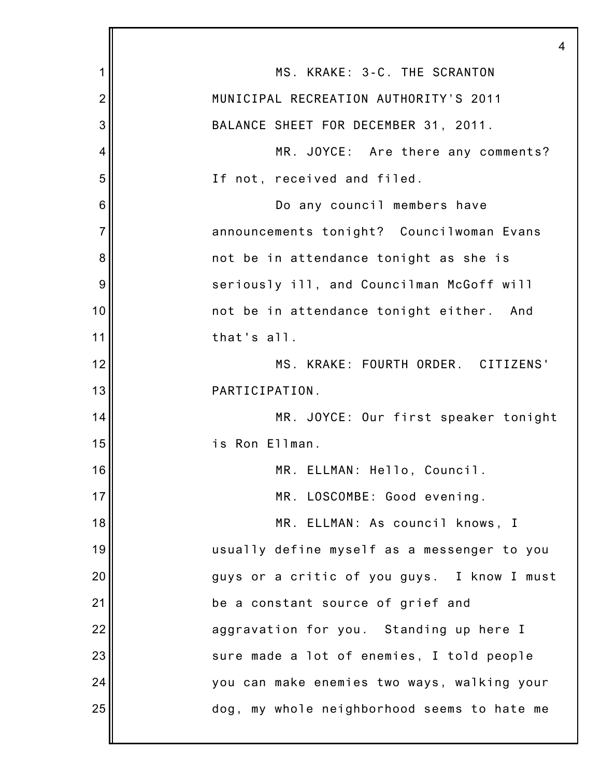|                | 4                                           |
|----------------|---------------------------------------------|
| 1              | MS. KRAKE: 3-C. THE SCRANTON                |
| $\overline{2}$ | MUNICIPAL RECREATION AUTHORITY'S 2011       |
| 3              | BALANCE SHEET FOR DECEMBER 31, 2011.        |
| 4              | MR. JOYCE: Are there any comments?          |
| 5              | If not, received and filed.                 |
| 6              | Do any council members have                 |
| $\overline{7}$ | announcements tonight? Councilwoman Evans   |
| 8              | not be in attendance tonight as she is      |
| 9              | seriously ill, and Councilman McGoff will   |
| 10             | not be in attendance tonight either. And    |
| 11             | that's all.                                 |
| 12             | MS. KRAKE: FOURTH ORDER. CITIZENS'          |
| 13             | PARTICIPATION.                              |
| 14             | MR. JOYCE: Our first speaker tonight        |
| 15             | is Ron Ellman.                              |
| 16             | MR. ELLMAN: Hello, Council.                 |
| 17             | MR. LOSCOMBE: Good evening.                 |
| 18             | MR. ELLMAN: As council knows, I             |
| 19             | usually define myself as a messenger to you |
| 20             | guys or a critic of you guys. I know I must |
| 21             | be a constant source of grief and           |
| 22             | aggravation for you. Standing up here I     |
| 23             | sure made a lot of enemies, I told people   |
| 24             | you can make enemies two ways, walking your |
| 25             | dog, my whole neighborhood seems to hate me |
|                |                                             |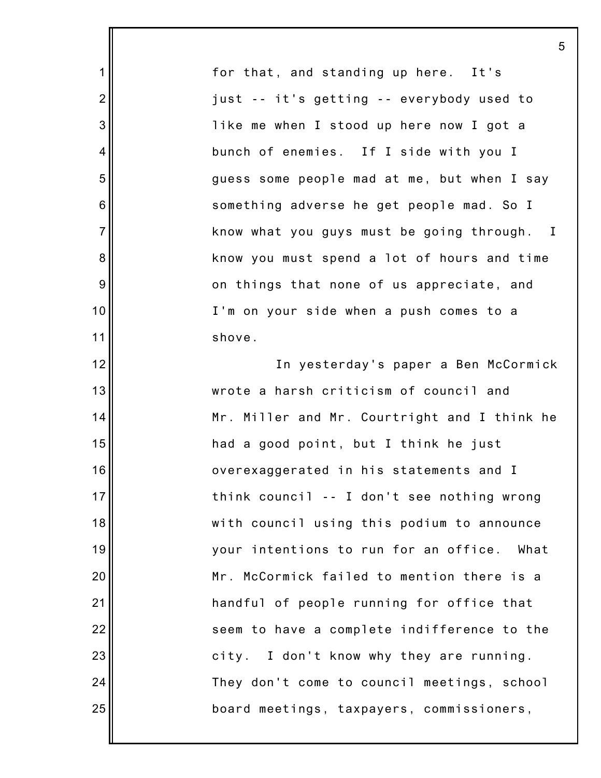for that, and standing up here. It's just -- it's getting -- everybody used to like me when I stood up here now I got a bunch of enemies. If I side with you I guess some people mad at me, but when I say something adverse he get people mad. So I know what you guys must be going through. I know you must spend a lot of hours and time on things that none of us appreciate, and I'm on your side when a push comes to a shove.

5

1

2

3

4

5

6

7

8

9

10

11

12

13

14

15

16

17

18

19

20

21

22

23

24

25

In yesterday's paper a Ben McCormick wrote a harsh criticism of council and Mr. Miller and Mr. Courtright and I think he had a good point, but I think he just overexaggerated in his statements and I think council -- I don't see nothing wrong with council using this podium to announce your intentions to run for an office. What Mr. McCormick failed to mention there is a handful of people running for office that seem to have a complete indifference to the city. I don't know why they are running. They don't come to council meetings, school board meetings, taxpayers, commissioners,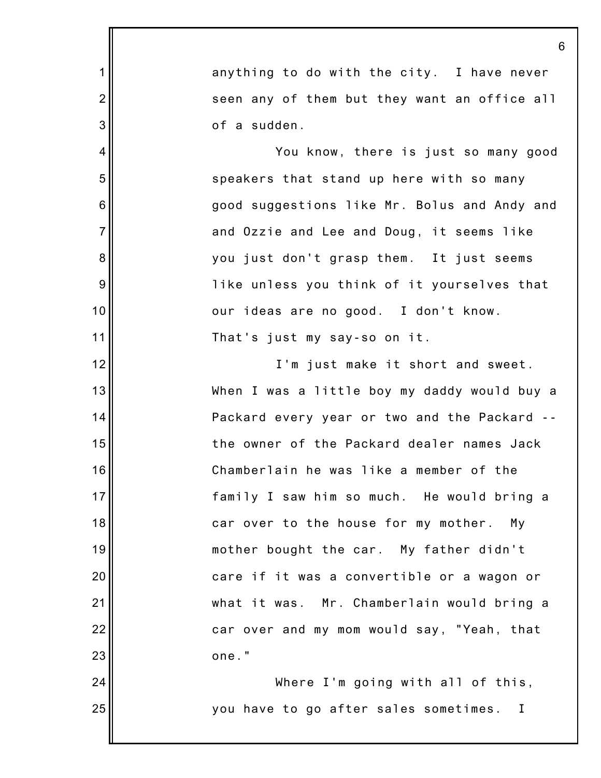|                | 6                                            |
|----------------|----------------------------------------------|
| $\mathbf 1$    | anything to do with the city. I have never   |
| $\overline{2}$ | seen any of them but they want an office all |
| 3              | of a sudden.                                 |
| 4              | You know, there is just so many good         |
| 5              | speakers that stand up here with so many     |
| 6              | good suggestions like Mr. Bolus and Andy and |
| $\overline{7}$ | and Ozzie and Lee and Doug, it seems like    |
| 8              | you just don't grasp them. It just seems     |
| 9              | like unless you think of it yourselves that  |
| 10             | our ideas are no good. I don't know.         |
| 11             | That's just my say-so on it.                 |
| 12             | I'm just make it short and sweet.            |
| 13             | When I was a little boy my daddy would buy a |
| 14             | Packard every year or two and the Packard -- |
| 15             | the owner of the Packard dealer names Jack   |
| 16             | Chamberlain he was like a member of the      |
| 17             | family I saw him so much. He would bring a   |
| 18             | car over to the house for my mother. My      |
| 19             | mother bought the car. My father didn't      |
| 20             | care if it was a convertible or a wagon or   |
| 21             | what it was. Mr. Chamberlain would bring a   |
| 22             | car over and my mom would say, "Yeah, that   |
| 23             | one."                                        |
| 24             | Where I'm going with all of this,            |
| 25             | you have to go after sales sometimes. I      |
|                |                                              |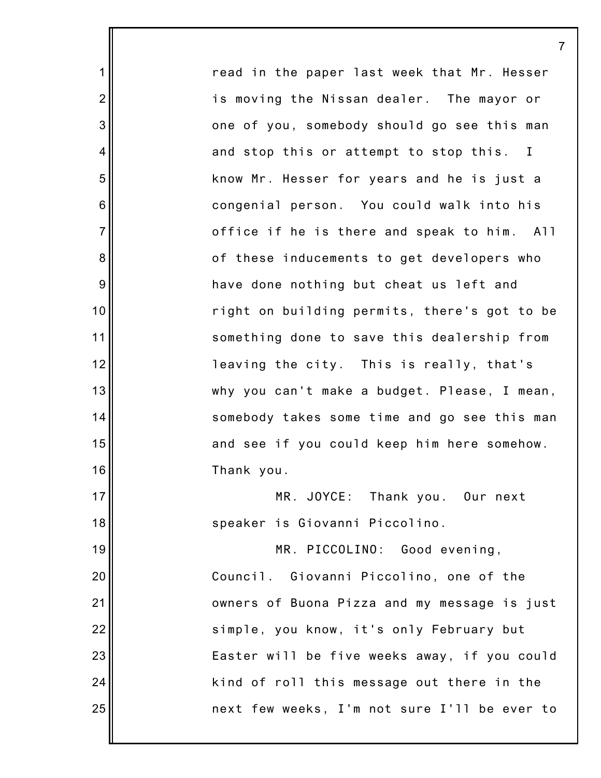read in the paper last week that Mr. Hesser is moving the Nissan dealer. The mayor or one of you, somebody should go see this man and stop this or attempt to stop this. I know Mr. Hesser for years and he is just a congenial person. You could walk into his office if he is there and speak to him. All of these inducements to get developers who have done nothing but cheat us left and right on building permits, there's got to be something done to save this dealership from leaving the city. This is really, that's why you can't make a budget. Please, I mean, somebody takes some time and go see this man and see if you could keep him here somehow. Thank you. MR. JOYCE: Thank you. Our next speaker is Giovanni Piccolino.

1

2

3

4

5

6

7

8

9

10

11

12

13

14

15

16

17

18

19

20

21

22

23

24

25

MR. PICCOLINO: Good evening, Council. Giovanni Piccolino, one of the owners of Buona Pizza and my message is just simple, you know, it's only February but Easter will be five weeks away, if you could kind of roll this message out there in the next few weeks, I'm not sure I'll be ever to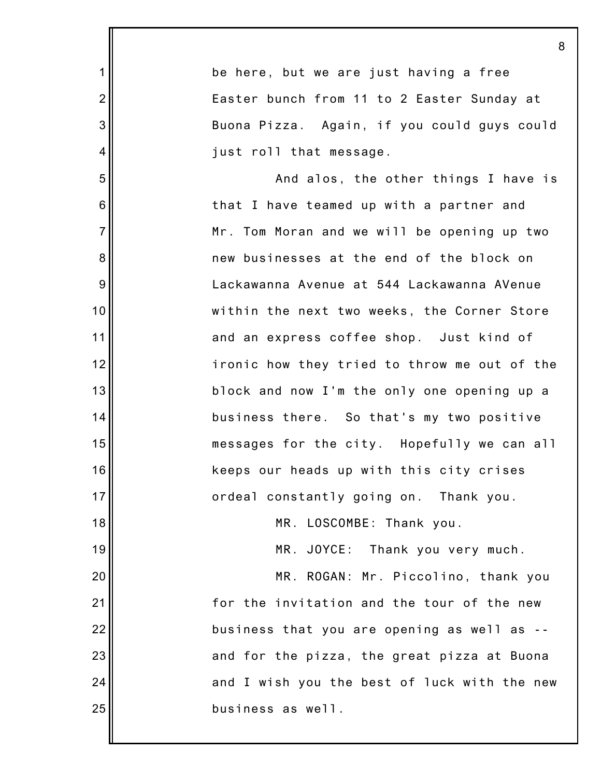|                | 8                                            |
|----------------|----------------------------------------------|
| 1              | be here, but we are just having a free       |
| $\overline{2}$ | Easter bunch from 11 to 2 Easter Sunday at   |
| 3              | Buona Pizza. Again, if you could guys could  |
| 4              | just roll that message.                      |
| 5              | And alos, the other things I have is         |
| 6              | that I have teamed up with a partner and     |
| $\overline{7}$ | Mr. Tom Moran and we will be opening up two  |
| 8              | new businesses at the end of the block on    |
| 9              | Lackawanna Avenue at 544 Lackawanna AVenue   |
| 10             | within the next two weeks, the Corner Store  |
| 11             | and an express coffee shop. Just kind of     |
| 12             | ironic how they tried to throw me out of the |
| 13             | block and now I'm the only one opening up a  |
| 14             | business there. So that's my two positive    |
| 15             | messages for the city. Hopefully we can all  |
| 16             | keeps our heads up with this city crises     |
| 17             | ordeal constantly going on. Thank you.       |
| 18             | MR. LOSCOMBE: Thank you.                     |
| 19             | MR. JOYCE: Thank you very much.              |
| 20             | MR. ROGAN: Mr. Piccolino, thank you          |
| 21             | for the invitation and the tour of the new   |
| 22             | business that you are opening as well as --  |
| 23             | and for the pizza, the great pizza at Buona  |
| 24             | and I wish you the best of luck with the new |
| 25             | business as well.                            |
|                |                                              |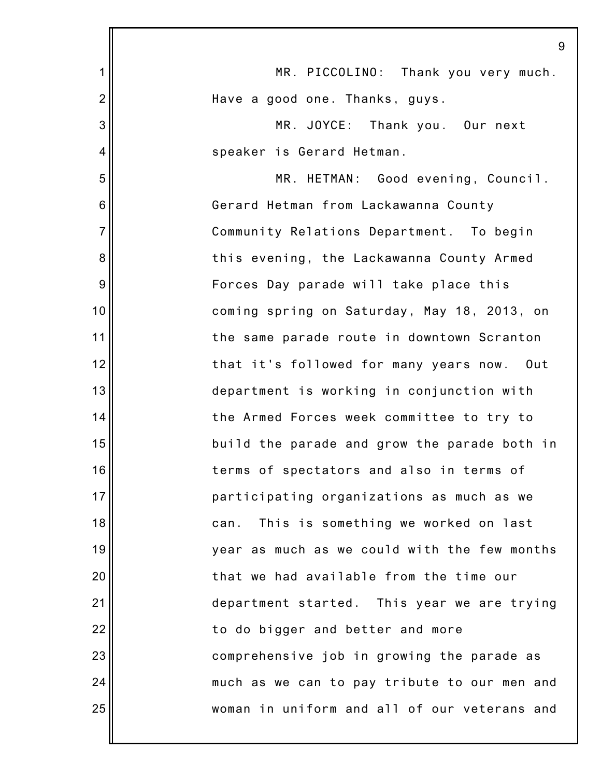|                | 9                                             |
|----------------|-----------------------------------------------|
| 1              | MR. PICCOLINO: Thank you very much.           |
| $\overline{c}$ | Have a good one. Thanks, guys.                |
| 3              | MR. JOYCE: Thank you. Our next                |
| 4              | speaker is Gerard Hetman.                     |
| 5              | MR. HETMAN: Good evening, Council.            |
| 6              | Gerard Hetman from Lackawanna County          |
| $\overline{7}$ | Community Relations Department. To begin      |
| 8              | this evening, the Lackawanna County Armed     |
| 9              | Forces Day parade will take place this        |
| 10             | coming spring on Saturday, May 18, 2013, on   |
| 11             | the same parade route in downtown Scranton    |
| 12             | that it's followed for many years now.<br>Out |
| 13             | department is working in conjunction with     |
| 14             | the Armed Forces week committee to try to     |
| 15             | build the parade and grow the parade both in  |
| 16             | terms of spectators and also in terms of      |
| 17             | participating organizations as much as we     |
| 18             | This is something we worked on last<br>can.   |
| 19             | year as much as we could with the few months  |
| 20             | that we had available from the time our       |
| 21             | department started. This year we are trying   |
| 22             | to do bigger and better and more              |
| 23             | comprehensive job in growing the parade as    |
| 24             | much as we can to pay tribute to our men and  |
| 25             | woman in uniform and all of our veterans and  |
|                |                                               |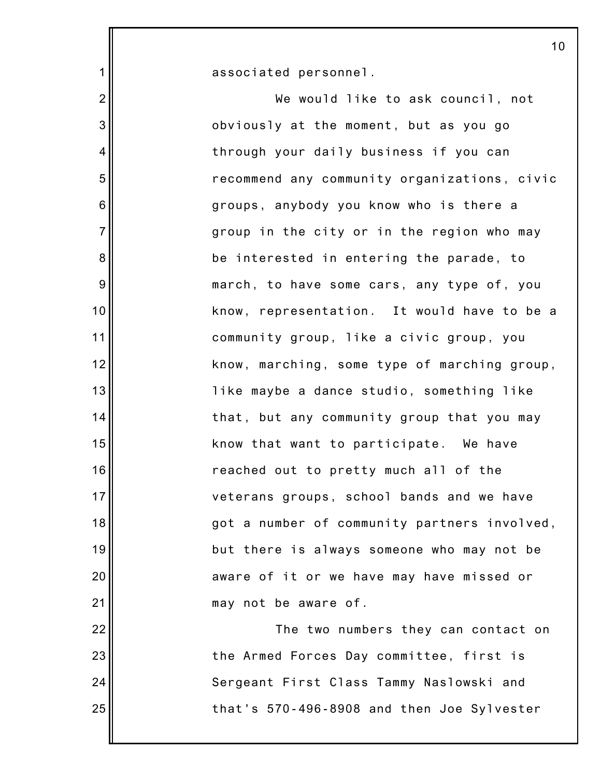associated personnel.

1

2

3

4

5

6

7

8

9

10

11

12

13

14

15

16

17

18

19

20

21

22

23

24

25

We would like to ask council, not obviously at the moment, but as you go through your daily business if you can recommend any community organizations, civic groups, anybody you know who is there a group in the city or in the region who may be interested in entering the parade, to march, to have some cars, any type of, you know, representation. It would have to be a community group, like a civic group, you know, marching, some type of marching group, like maybe a dance studio, something like that, but any community group that you may know that want to participate. We have reached out to pretty much all of the veterans groups, school bands and we have got a number of community partners involved, but there is always someone who may not be aware of it or we have may have missed or may not be aware of. The two numbers they can contact on the Armed Forces Day committee, first is

Sergeant First Class Tammy Naslowski and that's 570-496-8908 and then Joe Sylvester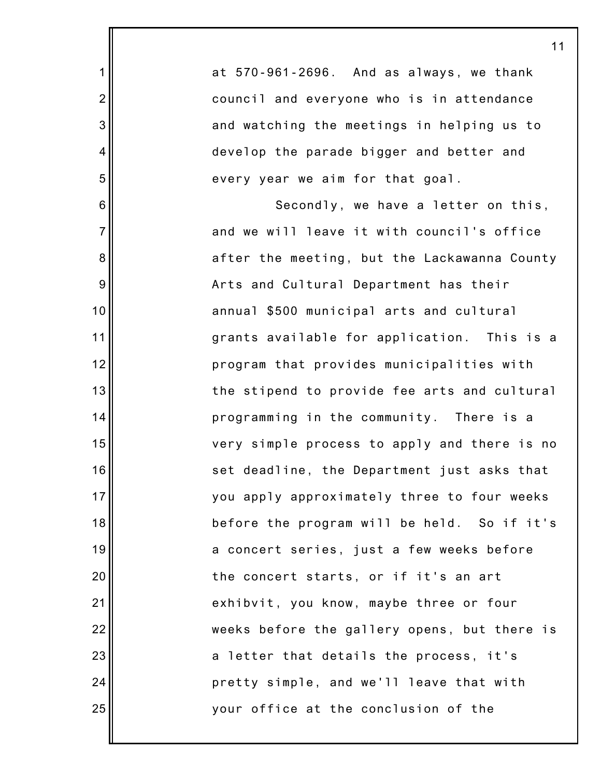| 11                                           |
|----------------------------------------------|
| at 570-961-2696. And as always, we thank     |
| council and everyone who is in attendance    |
| and watching the meetings in helping us to   |
| develop the parade bigger and better and     |
| every year we aim for that goal.             |
| Secondly, we have a letter on this,          |
| and we will leave it with council's office   |
| after the meeting, but the Lackawanna County |
| Arts and Cultural Department has their       |
| annual \$500 municipal arts and cultural     |
| grants available for application. This is a  |
| program that provides municipalities with    |
| the stipend to provide fee arts and cultural |
| programming in the community. There is a     |
| very simple process to apply and there is no |
| set deadline, the Department just asks that  |
| you apply approximately three to four weeks  |
| before the program will be held. So if it's  |
| a concert series, just a few weeks before    |
| the concert starts, or if it's an art        |
| exhibvit, you know, maybe three or four      |
| weeks before the gallery opens, but there is |
| a letter that details the process, it's      |
| pretty simple, and we'll leave that with     |
| your office at the conclusion of the         |

1

2

3

4

5

6

7

8

9

10

11

12

13

14

15

16

17

18

19

20

21

22

23

24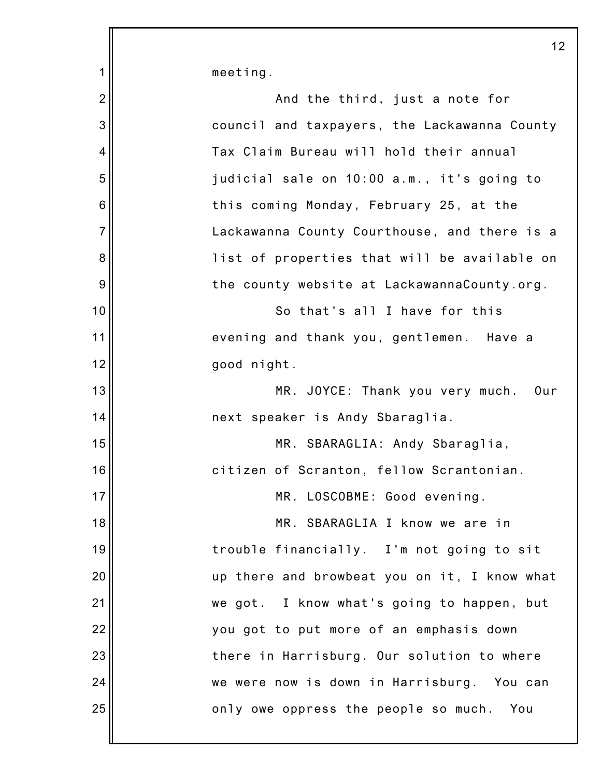1 2 3 4 5 6 7 8 9 10 11 12 13 14 15 16 17 18 19 20 21 22 23 24 25 12 meeting. And the third, just a note for council and taxpayers, the Lackawanna County Tax Claim Bureau will hold their annual judicial sale on 10:00 a.m., it's going to this coming Monday, February 25, at the Lackawanna County Courthouse, and there is a list of properties that will be available on the county website at LackawannaCounty.org. So that's all I have for this evening and thank you, gentlemen. Have a good night. MR. JOYCE: Thank you very much. Our next speaker is Andy Sbaraglia. MR. SBARAGLIA: Andy Sbaraglia, citizen of Scranton, fellow Scrantonian. MR. LOSCOBME: Good evening. MR. SBARAGLIA I know we are in trouble financially. I'm not going to sit up there and browbeat you on it, I know what we got. I know what's going to happen, but you got to put more of an emphasis down there in Harrisburg. Our solution to where we were now is down in Harrisburg. You can only owe oppress the people so much. You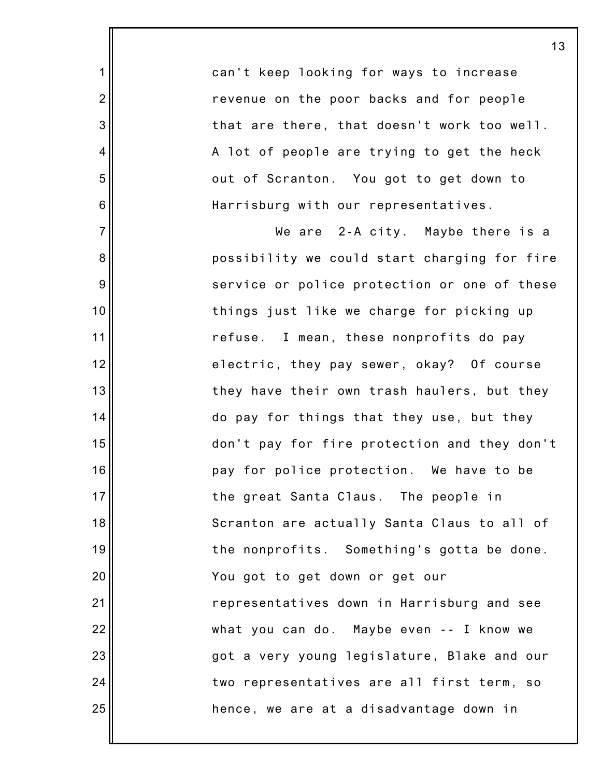can't keep looking for ways to increase revenue on the poor backs and for people that are there, that doesn't work too well. A lot of people are trying to get the heck out of Scranton. You got to get down to Harrisburg with our representatives.

1

2

3

4

5

6

7

8

9

10

11

12

13

14

15

16

17

18

19

20

21

22

23

24

25

We are 2-A city. Maybe there is a possibility we could start charging for fire service or police protection or one of these things just like we charge for picking up refuse. I mean, these nonprofits do pay electric, they pay sewer, okay? Of course they have their own trash haulers, but they do pay for things that they use, but they don't pay for fire protection and they don't pay for police protection. We have to be the great Santa Claus. The people in Scranton are actually Santa Claus to all of the nonprofits. Something's gotta be done. You got to get down or get our representatives down in Harrisburg and see what you can do. Maybe even -- I know we got a very young legislature, Blake and our two representatives are all first term, so hence, we are at a disadvantage down in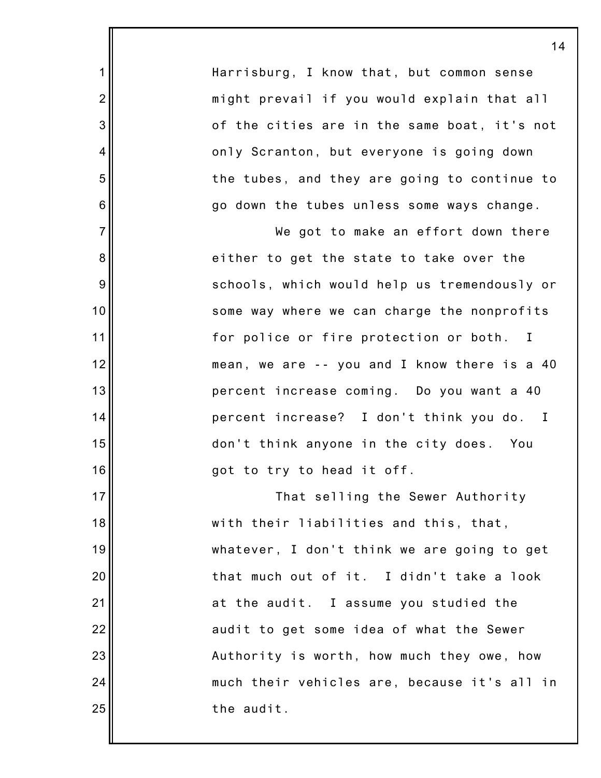Harrisburg, I know that, but common sense might prevail if you would explain that all of the cities are in the same boat, it's not only Scranton, but everyone is going down the tubes, and they are going to continue to go down the tubes unless some ways change.

1

2

3

4

5

6

7

8

9

10

11

12

13

14

15

16

17

18

19

20

21

22

23

24

25

We got to make an effort down there either to get the state to take over the schools, which would help us tremendously or some way where we can charge the nonprofits for police or fire protection or both. I mean, we are -- you and I know there is a 40 percent increase coming. Do you want a 40 percent increase? I don't think you do. I don't think anyone in the city does. You got to try to head it off.

That selling the Sewer Authority with their liabilities and this, that, whatever, I don't think we are going to get that much out of it. I didn't take a look at the audit. I assume you studied the audit to get some idea of what the Sewer Authority is worth, how much they owe, how much their vehicles are, because it's all in the audit.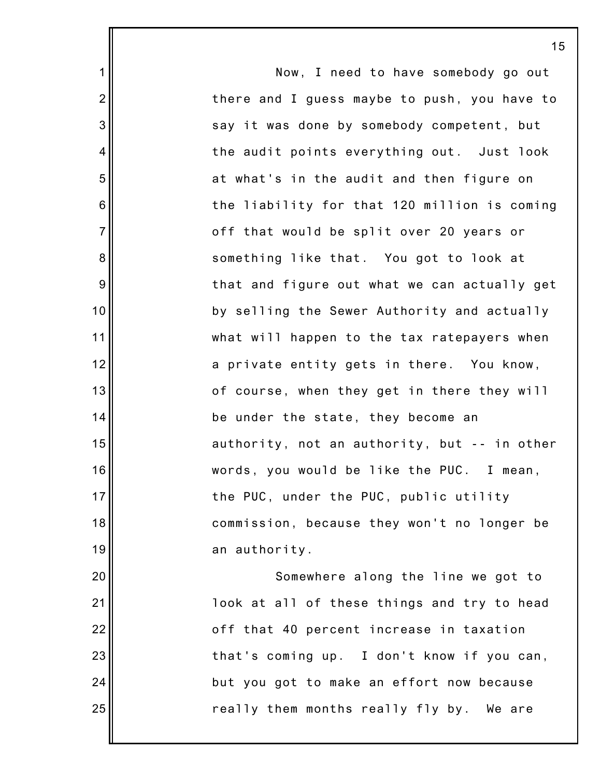|                  | 15                                           |
|------------------|----------------------------------------------|
| $\mathbf 1$      | Now, I need to have somebody go out          |
| $\overline{2}$   | there and I guess maybe to push, you have to |
| $\mathbf{3}$     | say it was done by somebody competent, but   |
| 4                | the audit points everything out. Just look   |
| 5                | at what's in the audit and then figure on    |
| $6\phantom{1}6$  | the liability for that 120 million is coming |
| $\overline{7}$   | off that would be split over 20 years or     |
| $\bf 8$          | something like that. You got to look at      |
| $\boldsymbol{9}$ | that and figure out what we can actually get |
| 10               | by selling the Sewer Authority and actually  |
| 11               | what will happen to the tax ratepayers when  |
| 12               | a private entity gets in there. You know,    |
| 13               | of course, when they get in there they will  |
| 14               | be under the state, they become an           |
| 15               | authority, not an authority, but -- in other |
| 16               | words, you would be like the PUC. I mean,    |
| 17               | the PUC, under the PUC, public utility       |
| 18               | commission, because they won't no longer be  |
| 19               | an authority.                                |
| 20               | Somewhere along the line we got to           |
| 21               | look at all of these things and try to head  |
| 22               | off that 40 percent increase in taxation     |
| 23               | that's coming up. I don't know if you can,   |
| 24               | but you got to make an effort now because    |
| 25               | really them months really fly by. We are     |
|                  |                                              |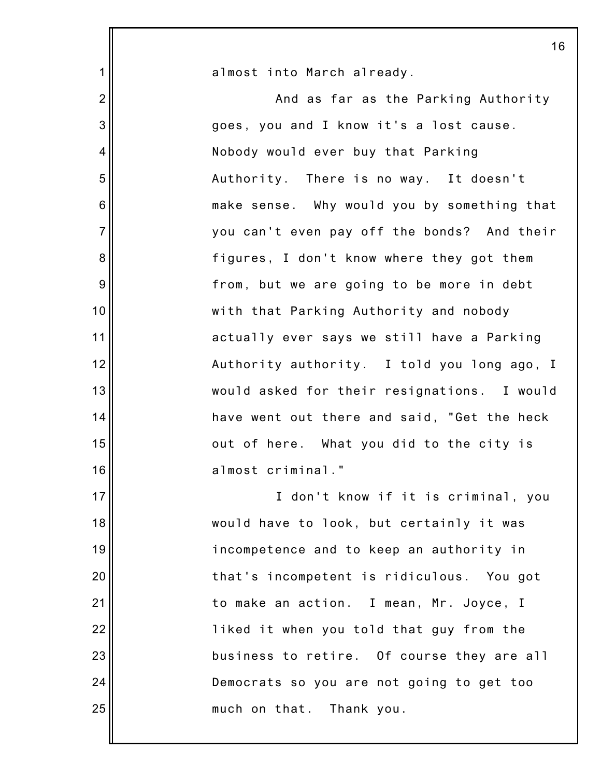|                | 16                                          |
|----------------|---------------------------------------------|
| $\mathbf 1$    | almost into March already.                  |
| $\overline{2}$ | And as far as the Parking Authority         |
| 3              | goes, you and I know it's a lost cause.     |
| 4              | Nobody would ever buy that Parking          |
| 5              | Authority. There is no way. It doesn't      |
| 6              | make sense. Why would you by something that |
| $\overline{7}$ | you can't even pay off the bonds? And their |
| 8              | figures, I don't know where they got them   |
| 9              | from, but we are going to be more in debt   |
| 10             | with that Parking Authority and nobody      |
| 11             | actually ever says we still have a Parking  |
| 12             | Authority authority. I told you long ago, I |
| 13             | would asked for their resignations. I would |
| 14             | have went out there and said, "Get the heck |
| 15             | out of here. What you did to the city is    |
| 16             | almost criminal."                           |
| 17             | I don't know if it is criminal, you         |
| 18             | would have to look, but certainly it was    |
| 19             | incompetence and to keep an authority in    |
| 20             | that's incompetent is ridiculous. You got   |
| 21             | to make an action. I mean, Mr. Joyce, I     |
| 22             | liked it when you told that guy from the    |
| 23             | business to retire. Of course they are all  |
| 24             | Democrats so you are not going to get too   |
| 25             | much on that. Thank you.                    |
|                |                                             |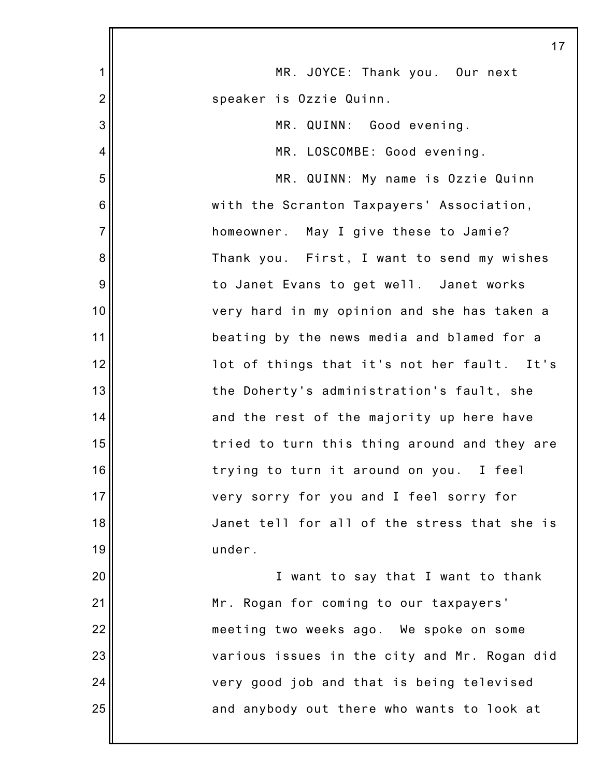|                 | 17                                           |
|-----------------|----------------------------------------------|
| 1               | MR. JOYCE: Thank you. Our next               |
| $\overline{2}$  | speaker is Ozzie Quinn.                      |
| 3               | MR. QUINN: Good evening.                     |
| 4               | MR. LOSCOMBE: Good evening.                  |
| 5               | MR. QUINN: My name is Ozzie Quinn            |
| $6\phantom{1}6$ | with the Scranton Taxpayers' Association,    |
| $\overline{7}$  | homeowner. May I give these to Jamie?        |
| 8               | Thank you. First, I want to send my wishes   |
| $9\,$           | to Janet Evans to get well. Janet works      |
| 10              | very hard in my opinion and she has taken a  |
| 11              | beating by the news media and blamed for a   |
| 12              | lot of things that it's not her fault. It's  |
| 13              | the Doherty's administration's fault, she    |
| 14              | and the rest of the majority up here have    |
| 15              | tried to turn this thing around and they are |
| 16              | trying to turn it around on you. I feel      |
| 17              | very sorry for you and I feel sorry for      |
| 18              | Janet tell for all of the stress that she is |
| 19              | under.                                       |
| 20              | I want to say that I want to thank           |
| 21              | Mr. Rogan for coming to our taxpayers'       |
| 22              | meeting two weeks ago. We spoke on some      |
| 23              | various issues in the city and Mr. Rogan did |
| 24              | very good job and that is being televised    |
| 25              | and anybody out there who wants to look at   |
|                 |                                              |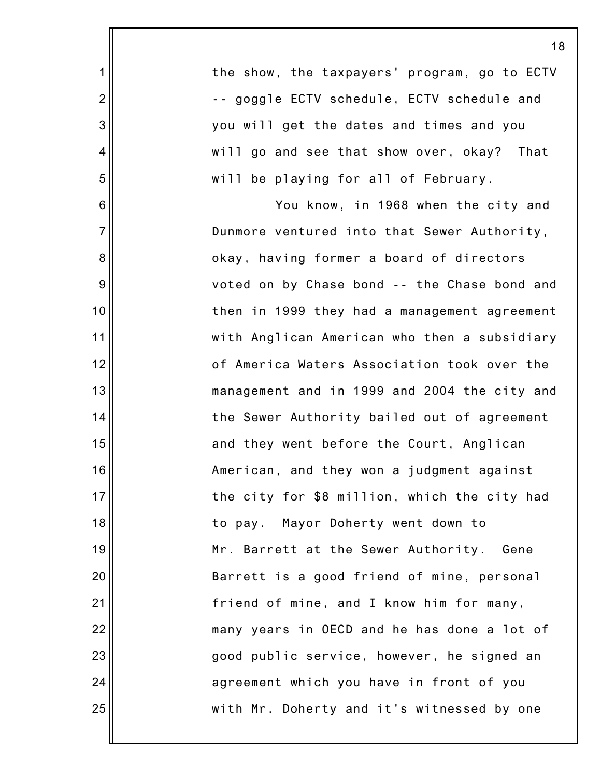|                  |                                              | 1١ |
|------------------|----------------------------------------------|----|
| $\mathbf{1}$     | the show, the taxpayers' program, go to ECTV |    |
| $\overline{2}$   | -- goggle ECTV schedule, ECTV schedule and   |    |
| $\mathbf{3}$     | you will get the dates and times and you     |    |
| 4                | will go and see that show over, okay? That   |    |
| $\mathbf 5$      | will be playing for all of February.         |    |
| $\,6$            | You know, in 1968 when the city and          |    |
| $\overline{7}$   | Dunmore ventured into that Sewer Authority,  |    |
| $\bf 8$          | okay, having former a board of directors     |    |
| $\boldsymbol{9}$ | voted on by Chase bond -- the Chase bond and |    |
| 10               | then in 1999 they had a management agreement |    |
| 11               | with Anglican American who then a subsidiary |    |
| 12               | of America Waters Association took over the  |    |
| 13               | management and in 1999 and 2004 the city and |    |
| 14               | the Sewer Authority bailed out of agreement  |    |
| 15               | and they went before the Court, Anglican     |    |
| 16 <sup>1</sup>  | American, and they won a judgment against    |    |
| 17               | the city for \$8 million, which the city had |    |
| 18               | to pay. Mayor Doherty went down to           |    |
| 19               | Mr. Barrett at the Sewer Authority.<br>Gene  |    |
| 20               | Barrett is a good friend of mine, personal   |    |
| 21               | friend of mine, and I know him for many,     |    |
| 22               | many years in OECD and he has done a lot of  |    |
| 23               | good public service, however, he signed an   |    |
| 24               | agreement which you have in front of you     |    |
| 25               | with Mr. Doherty and it's witnessed by one   |    |
|                  |                                              |    |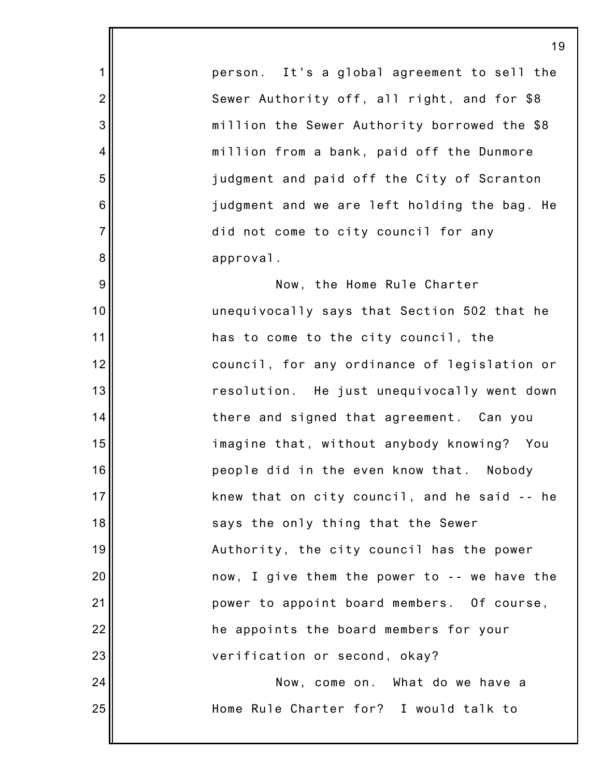person. It's a global agreement to sell the Sewer Authority off, all right, and for \$8 million the Sewer Authority borrowed the \$8 million from a bank, paid off the Dunmore judgment and paid off the City of Scranton judgment and we are left holding the bag. He did not come to city council for any approval.

1

2

3

4

5

6

7

8

9

10

11

12

13

14

15

16

17

18

19

20

21

22

23

24

25

Now, the Home Rule Charter unequivocally says that Section 502 that he has to come to the city council, the council, for any ordinance of legislation or resolution. He just unequivocally went down there and signed that agreement. Can you imagine that, without anybody knowing? You people did in the even know that. Nobody knew that on city council, and he said -- he says the only thing that the Sewer Authority, the city council has the power now, I give them the power to -- we have the power to appoint board members. Of course, he appoints the board members for your verification or second, okay? Now, come on. What do we have a

Home Rule Charter for? I would talk to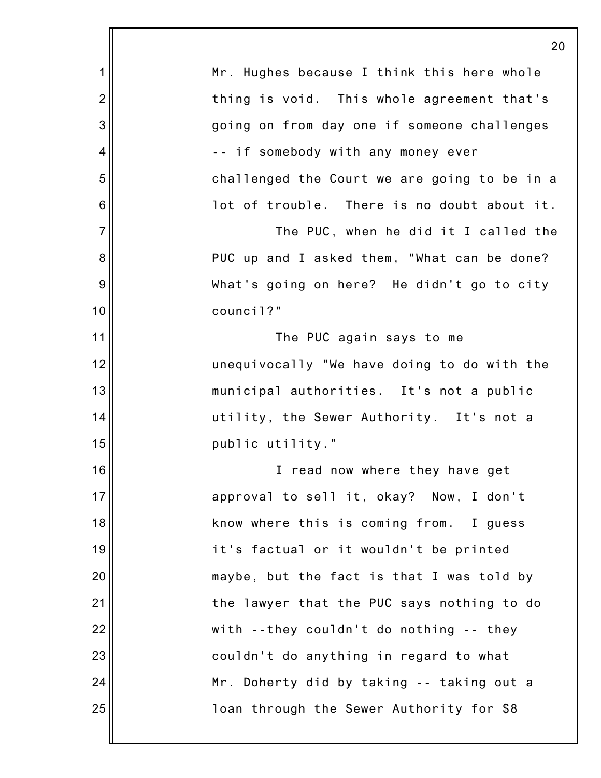|                | 20                                           |
|----------------|----------------------------------------------|
| 1              | Mr. Hughes because I think this here whole   |
| $\overline{2}$ | thing is void. This whole agreement that's   |
| 3              | going on from day one if someone challenges  |
| 4              | -- if somebody with any money ever           |
| 5              | challenged the Court we are going to be in a |
| 6              | lot of trouble. There is no doubt about it.  |
| $\overline{7}$ | The PUC, when he did it I called the         |
| 8              | PUC up and I asked them, "What can be done?  |
| 9              | What's going on here? He didn't go to city   |
| 10             | council?"                                    |
| 11             | The PUC again says to me                     |
| 12             | unequivocally "We have doing to do with the  |
| 13             | municipal authorities. It's not a public     |
| 14             | utility, the Sewer Authority. It's not a     |
| 15             | public utility."                             |
| 16             | I read now where they have get               |
| 17             | approval to sell it, okay? Now, I don't      |
| 18             | know where this is coming from. I guess      |
| 19             | it's factual or it wouldn't be printed       |
| 20             | maybe, but the fact is that I was told by    |
| 21             | the lawyer that the PUC says nothing to do   |
| 22             | with --they couldn't do nothing -- they      |
| 23             | couldn't do anything in regard to what       |
| 24             | Mr. Doherty did by taking -- taking out a    |
| 25             | loan through the Sewer Authority for \$8     |
|                |                                              |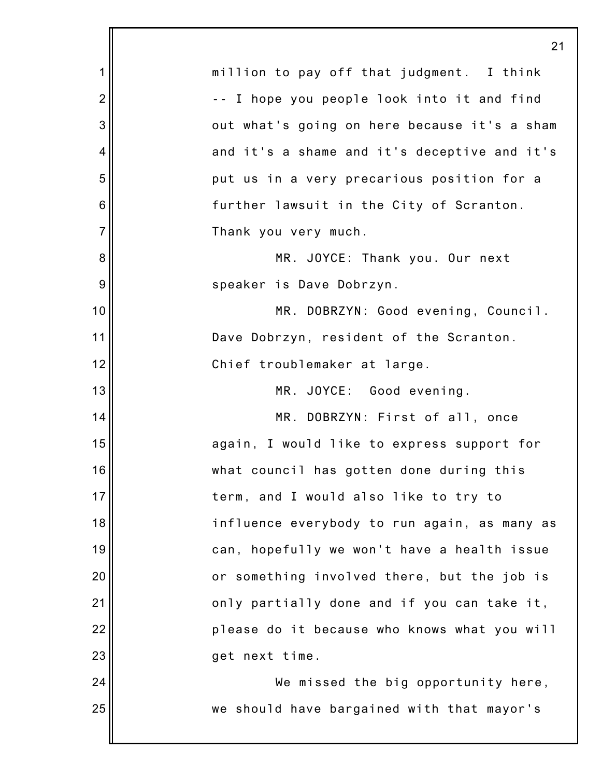|                | 21                                           |
|----------------|----------------------------------------------|
| $\mathbf 1$    | million to pay off that judgment. I think    |
| $\overline{2}$ | -- I hope you people look into it and find   |
| 3              | out what's going on here because it's a sham |
| 4              | and it's a shame and it's deceptive and it's |
| 5              | put us in a very precarious position for a   |
| 6              | further lawsuit in the City of Scranton.     |
| $\overline{7}$ | Thank you very much.                         |
| 8              | MR. JOYCE: Thank you. Our next               |
| 9              | speaker is Dave Dobrzyn.                     |
| 10             | MR. DOBRZYN: Good evening, Council.          |
| 11             | Dave Dobrzyn, resident of the Scranton.      |
| 12             | Chief troublemaker at large.                 |
| 13             | MR. JOYCE: Good evening.                     |
| 14             | MR. DOBRZYN: First of all, once              |
| 15             | again, I would like to express support for   |
| 16             | what council has gotten done during this     |
| 17             | term, and I would also like to try to        |
| 18             | influence everybody to run again, as many as |
| 19             | can, hopefully we won't have a health issue  |
| 20             | or something involved there, but the job is  |
| 21             | only partially done and if you can take it,  |
| 22             | please do it because who knows what you will |
| 23             | get next time.                               |
| 24             | We missed the big opportunity here,          |
| 25             | we should have bargained with that mayor's   |
|                |                                              |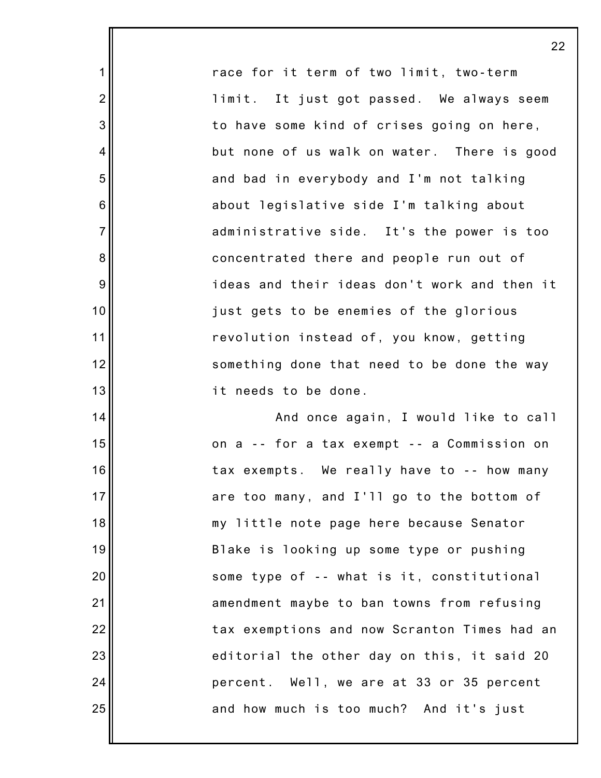race for it term of two limit, two-term limit. It just got passed. We always seem to have some kind of crises going on here, but none of us walk on water. There is good and bad in everybody and I'm not talking about legislative side I'm talking about administrative side. It's the power is too concentrated there and people run out of ideas and their ideas don't work and then it just gets to be enemies of the glorious revolution instead of, you know, getting something done that need to be done the way it needs to be done.

1

2

3

4

5

6

7

8

9

10

11

12

13

14

15

16

17

18

19

20

21

22

23

24

25

And once again, I would like to call on a -- for a tax exempt -- a Commission on tax exempts. We really have to -- how many are too many, and I'll go to the bottom of my little note page here because Senator Blake is looking up some type or pushing some type of -- what is it, constitutional amendment maybe to ban towns from refusing tax exemptions and now Scranton Times had an editorial the other day on this, it said 20 percent. Well, we are at 33 or 35 percent and how much is too much? And it's just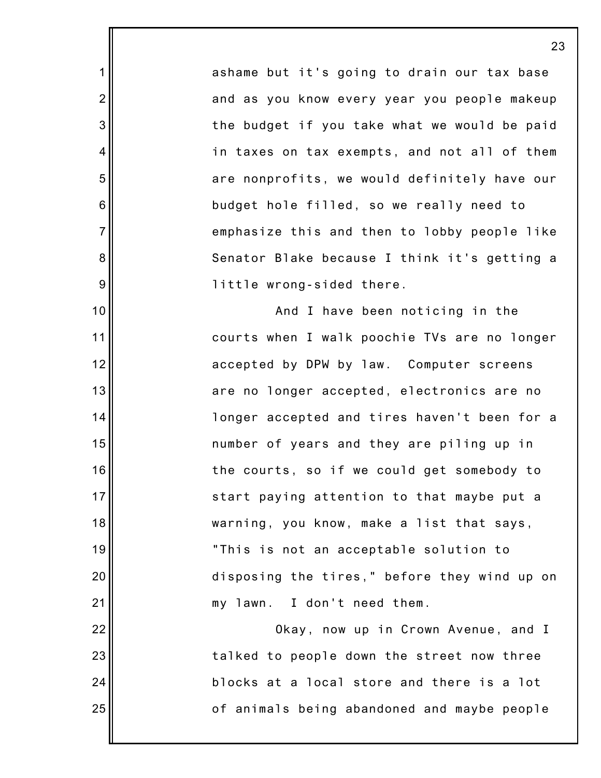ashame but it's going to drain our tax base and as you know every year you people makeup the budget if you take what we would be paid in taxes on tax exempts, and not all of them are nonprofits, we would definitely have our budget hole filled, so we really need to emphasize this and then to lobby people like Senator Blake because I think it's getting a little wrong-sided there.

1

2

3

4

5

6

7

8

9

10

11

12

13

14

15

16

17

18

19

20

21

22

23

24

25

And I have been noticing in the courts when I walk poochie TVs are no longer accepted by DPW by law. Computer screens are no longer accepted, electronics are no longer accepted and tires haven't been for a number of years and they are piling up in the courts, so if we could get somebody to start paying attention to that maybe put a warning, you know, make a list that says, "This is not an acceptable solution to disposing the tires," before they wind up on my lawn. I don't need them.

Okay, now up in Crown Avenue, and I talked to people down the street now three blocks at a local store and there is a lot of animals being abandoned and maybe people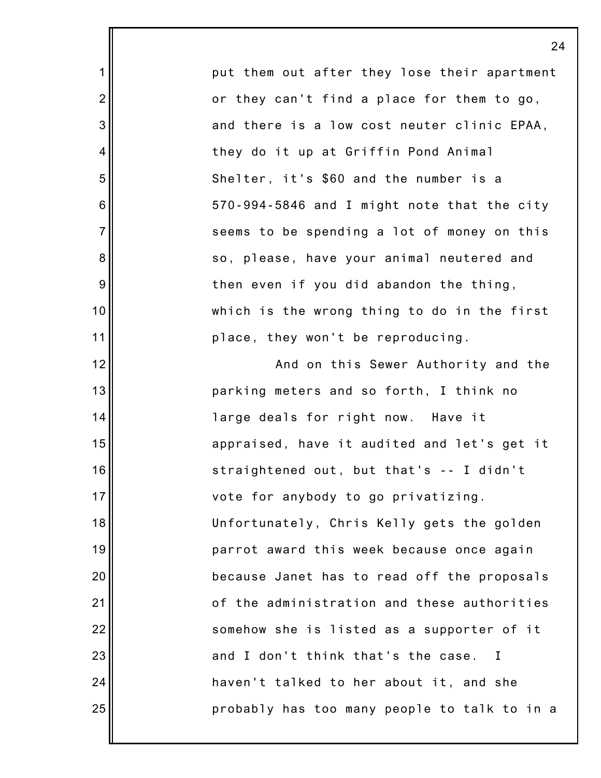put them out after they lose their apartment or they can't find a place for them to go, and there is a low cost neuter clinic EPAA, they do it up at Griffin Pond Animal Shelter, it's \$60 and the number is a 570-994-5846 and I might note that the city seems to be spending a lot of money on this so, please, have your animal neutered and then even if you did abandon the thing, which is the wrong thing to do in the first place, they won't be reproducing.

1

2

3

4

5

6

7

8

9

10

11

12

13

14

15

16

17

18

19

20

21

22

23

24

25

And on this Sewer Authority and the parking meters and so forth, I think no large deals for right now. Have it appraised, have it audited and let's get it straightened out, but that's -- I didn't vote for anybody to go privatizing. Unfortunately, Chris Kelly gets the golden parrot award this week because once again because Janet has to read off the proposals of the administration and these authorities somehow she is listed as a supporter of it and I don't think that's the case. I haven't talked to her about it, and she probably has too many people to talk to in a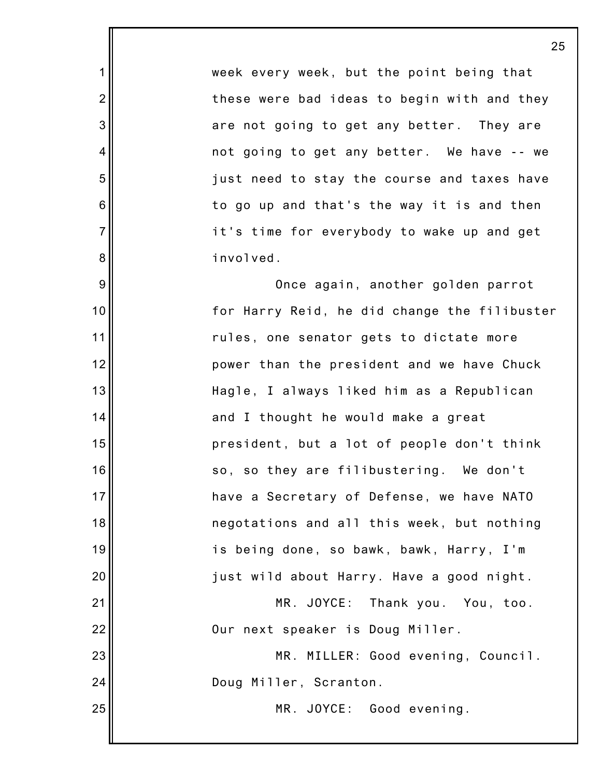week every week, but the point being that these were bad ideas to begin with and they are not going to get any better. They are not going to get any better. We have -- we just need to stay the course and taxes have to go up and that's the way it is and then it's time for everybody to wake up and get involved.

1

2

3

4

5

6

7

8

9

10

11

12

13

14

15

16

17

18

19

20

21

22

23

24

25

Once again, another golden parrot for Harry Reid, he did change the filibuster rules, one senator gets to dictate more power than the president and we have Chuck Hagle, I always liked him as a Republican and I thought he would make a great president, but a lot of people don't think so, so they are filibustering. We don't have a Secretary of Defense, we have NATO negotations and all this week, but nothing is being done, so bawk, bawk, Harry, I'm just wild about Harry. Have a good night. MR. JOYCE: Thank you. You, too.

Our next speaker is Doug Miller.

MR. MILLER: Good evening, Council. Doug Miller, Scranton.

MR. JOYCE: Good evening.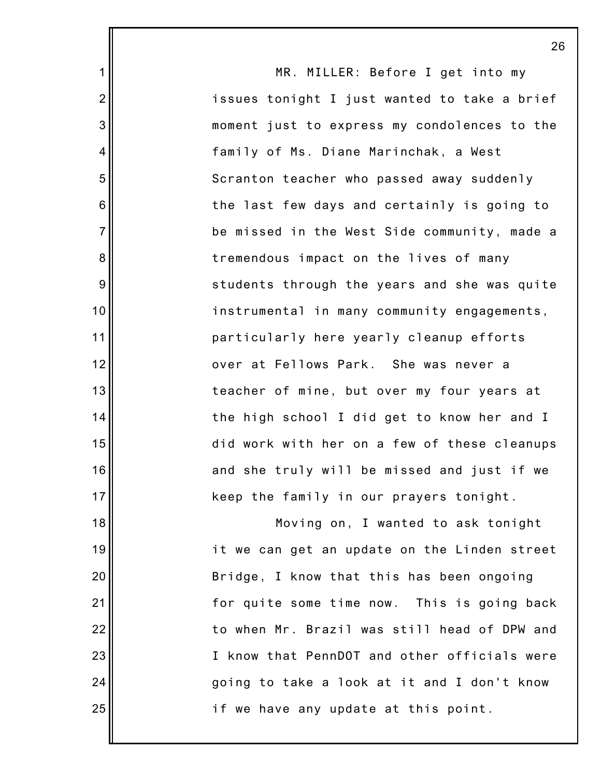|                | 26                                           |
|----------------|----------------------------------------------|
| $\mathbf{1}$   | MR. MILLER: Before I get into my             |
| $\overline{2}$ | issues tonight I just wanted to take a brief |
| 3              | moment just to express my condolences to the |
| $\overline{4}$ | family of Ms. Diane Marinchak, a West        |
| 5              | Scranton teacher who passed away suddenly    |
| 6              | the last few days and certainly is going to  |
| $\overline{7}$ | be missed in the West Side community, made a |
| 8              | tremendous impact on the lives of many       |
| 9              | students through the years and she was quite |
| 10             | instrumental in many community engagements,  |
| 11             | particularly here yearly cleanup efforts     |
| 12             | over at Fellows Park. She was never a        |
| 13             | teacher of mine, but over my four years at   |
| 14             | the high school I did get to know her and I  |
| 15             | did work with her on a few of these cleanups |
| 16             | and she truly will be missed and just if we  |
| 17             | keep the family in our prayers tonight.      |
| 18             | Moving on, I wanted to ask tonight           |
| 19             | it we can get an update on the Linden street |
| 20             | Bridge, I know that this has been ongoing    |
| 21             | for quite some time now. This is going back  |
| 22             | to when Mr. Brazil was still head of DPW and |
| 23             | I know that PennDOT and other officials were |
| 24             | going to take a look at it and I don't know  |
| 25             | if we have any update at this point.         |
|                |                                              |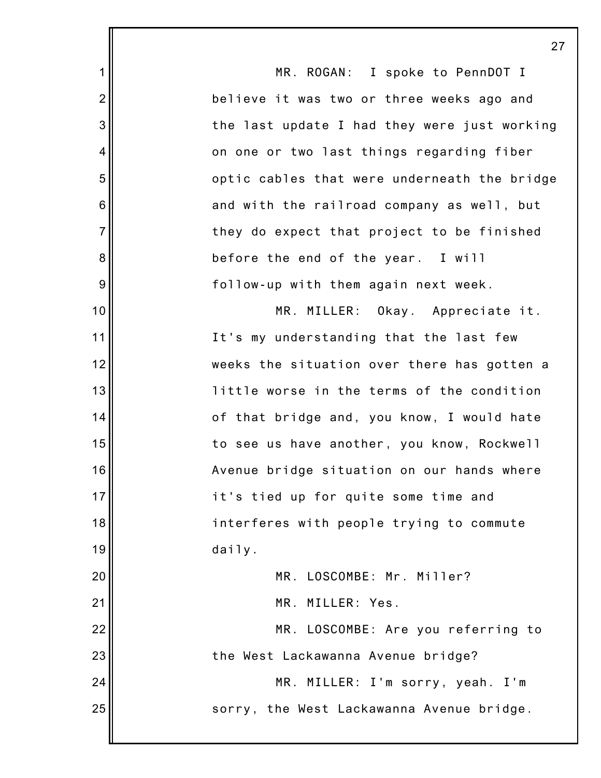|                 | 2                                            |
|-----------------|----------------------------------------------|
| 1               | MR. ROGAN: I spoke to PennDOT I              |
| $\overline{2}$  | believe it was two or three weeks ago and    |
| 3               | the last update I had they were just working |
| 4               | on one or two last things regarding fiber    |
| 5               | optic cables that were underneath the bridge |
| $6\phantom{1}6$ | and with the railroad company as well, but   |
| $\overline{7}$  | they do expect that project to be finished   |
| 8               | before the end of the year. I will           |
| 9               | follow-up with them again next week.         |
| 10              | MR. MILLER: Okay. Appreciate it.             |
| 11              | It's my understanding that the last few      |
| 12              | weeks the situation over there has gotten a  |
| 13              | little worse in the terms of the condition   |
| 14              | of that bridge and, you know, I would hate   |
| 15              | to see us have another, you know, Rockwell   |
| 16              | Avenue bridge situation on our hands where   |
| 17              | it's tied up for quite some time and         |
| 18              | interferes with people trying to commute     |
| 19              | daily.                                       |
| 20              | MR. LOSCOMBE: Mr. Miller?                    |
| 21              | MR. MILLER: Yes.                             |
| 22              | MR. LOSCOMBE: Are you referring to           |
| 23              | the West Lackawanna Avenue bridge?           |
| 24              | MR. MILLER: I'm sorry, yeah. I'm             |
| 25              | sorry, the West Lackawanna Avenue bridge.    |
|                 |                                              |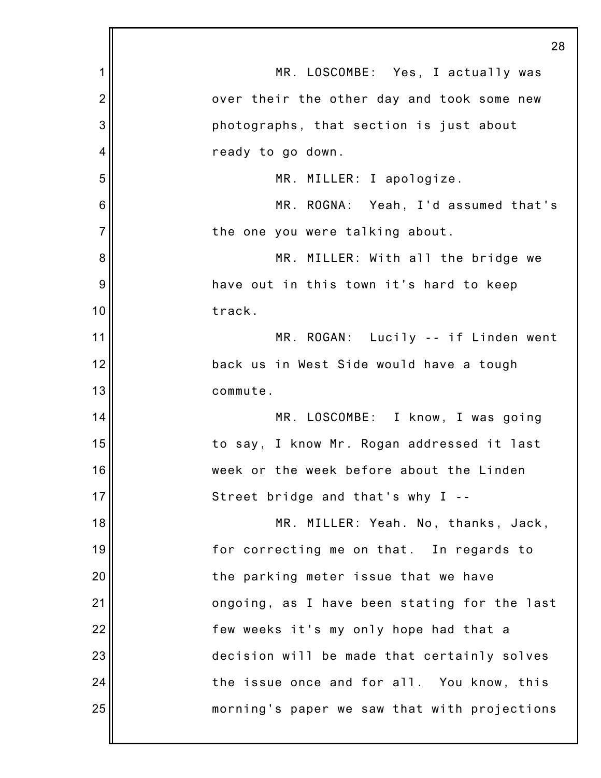|                | 28                                           |
|----------------|----------------------------------------------|
| 1              | MR. LOSCOMBE: Yes, I actually was            |
| $\overline{2}$ | over their the other day and took some new   |
| 3              | photographs, that section is just about      |
| $\overline{4}$ | ready to go down.                            |
| 5              | MR. MILLER: I apologize.                     |
| 6              | MR. ROGNA: Yeah, I'd assumed that's          |
| $\overline{7}$ | the one you were talking about.              |
| 8              | MR. MILLER: With all the bridge we           |
| 9              | have out in this town it's hard to keep      |
| 10             | track.                                       |
| 11             | MR. ROGAN: Lucily -- if Linden went          |
| 12             | back us in West Side would have a tough      |
| 13             | commute.                                     |
| 14             | MR. LOSCOMBE: I know, I was going            |
| 15             | to say, I know Mr. Rogan addressed it last   |
| 16             | week or the week before about the Linden     |
| 17             | Street bridge and that's why I --            |
| 18             | MR. MILLER: Yeah. No, thanks, Jack,          |
| 19             | for correcting me on that. In regards to     |
| 20             | the parking meter issue that we have         |
| 21             | ongoing, as I have been stating for the last |
| 22             | few weeks it's my only hope had that a       |
| 23             | decision will be made that certainly solves  |
| 24             | the issue once and for all. You know, this   |
| 25             | morning's paper we saw that with projections |
|                |                                              |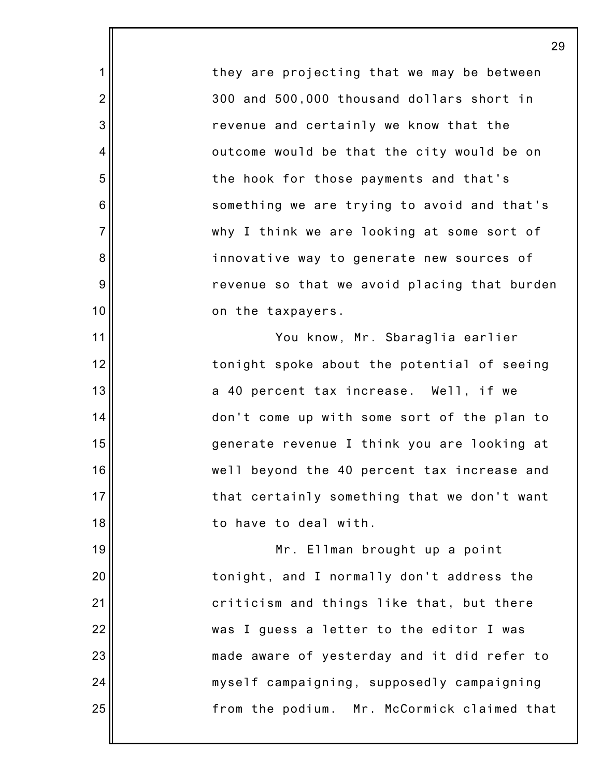they are projecting that we may be between 300 and 500,000 thousand dollars short in revenue and certainly we know that the outcome would be that the city would be on the hook for those payments and that's something we are trying to avoid and that's why I think we are looking at some sort of innovative way to generate new sources of revenue so that we avoid placing that burden on the taxpayers.

1

2

3

4

5

6

7

8

9

10

11

12

13

14

15

16

17

18

19

20

21

22

23

24

25

You know, Mr. Sbaraglia earlier tonight spoke about the potential of seeing a 40 percent tax increase. Well, if we don't come up with some sort of the plan to generate revenue I think you are looking at well beyond the 40 percent tax increase and that certainly something that we don't want to have to deal with.

Mr. Ellman brought up a point tonight, and I normally don't address the criticism and things like that, but there was I guess a letter to the editor I was made aware of yesterday and it did refer to myself campaigning, supposedly campaigning from the podium. Mr. McCormick claimed that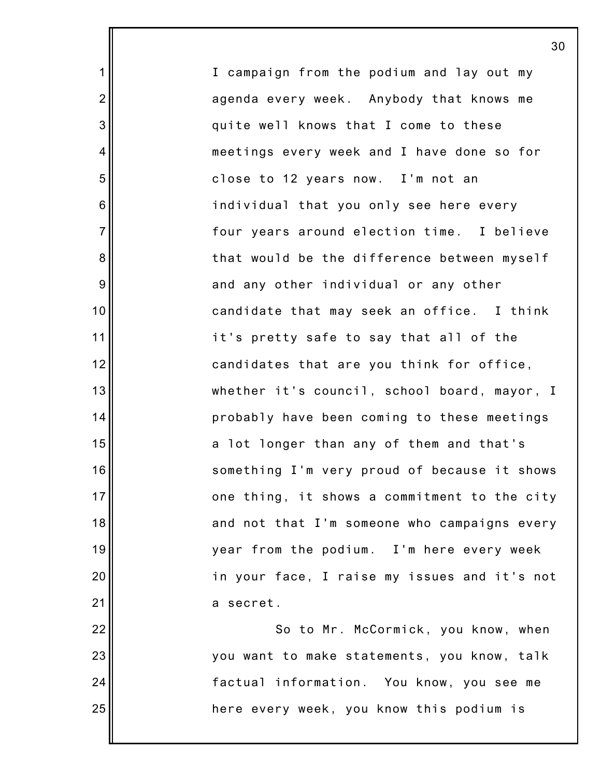I campaign from the podium and lay out my agenda every week. Anybody that knows me quite well knows that I come to these meetings every week and I have done so for close to 12 years now. I'm not an individual that you only see here every four years around election time. I believe that would be the difference between myself and any other individual or any other candidate that may seek an office. I think it's pretty safe to say that all of the candidates that are you think for office, whether it's council, school board, mayor, I probably have been coming to these meetings a lot longer than any of them and that's something I'm very proud of because it shows one thing, it shows a commitment to the city and not that I'm someone who campaigns every year from the podium. I'm here every week in your face, I raise my issues and it's not a secret. So to Mr. McCormick, you know, when you want to make statements, you know, talk factual information. You know, you see me

here every week, you know this podium is

1

2

3

4

5

6

7

8

9

10

11

12

13

14

15

16

17

18

19

20

21

22

23

24

25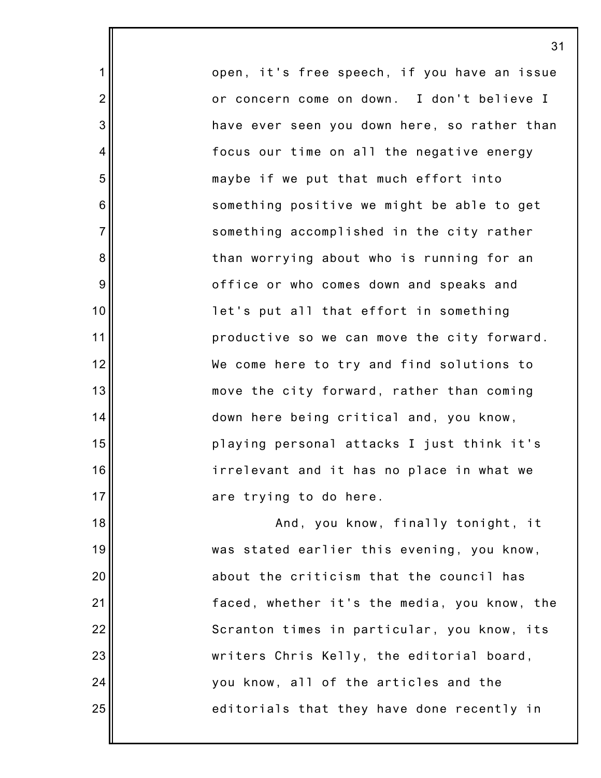open, it's free speech, if you have an issue or concern come on down. I don't believe I have ever seen you down here, so rather than focus our time on all the negative energy maybe if we put that much effort into something positive we might be able to get something accomplished in the city rather than worrying about who is running for an office or who comes down and speaks and let's put all that effort in something productive so we can move the city forward. We come here to try and find solutions to move the city forward, rather than coming down here being critical and, you know, playing personal attacks I just think it's irrelevant and it has no place in what we are trying to do here.

31

1

2

3

4

5

6

7

8

9

10

11

12

13

14

15

16

17

18

19

20

21

22

23

24

25

And, you know, finally tonight, it was stated earlier this evening, you know, about the criticism that the council has faced, whether it's the media, you know, the Scranton times in particular, you know, its writers Chris Kelly, the editorial board, you know, all of the articles and the editorials that they have done recently in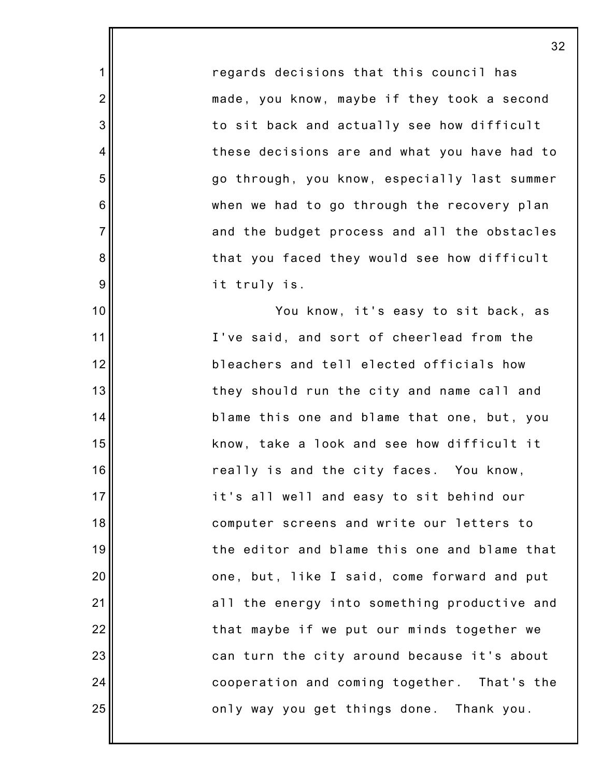regards decisions that this council has made, you know, maybe if they took a second to sit back and actually see how difficult these decisions are and what you have had to go through, you know, especially last summer when we had to go through the recovery plan and the budget process and all the obstacles that you faced they would see how difficult it truly is.

1

2

3

4

5

6

7

8

9

10

11

12

13

14

15

16

17

18

19

20

21

22

23

24

25

You know, it's easy to sit back, as I've said, and sort of cheerlead from the bleachers and tell elected officials how they should run the city and name call and blame this one and blame that one, but, you know, take a look and see how difficult it really is and the city faces. You know, it's all well and easy to sit behind our computer screens and write our letters to the editor and blame this one and blame that one, but, like I said, come forward and put all the energy into something productive and that maybe if we put our minds together we can turn the city around because it's about cooperation and coming together. That's the only way you get things done. Thank you.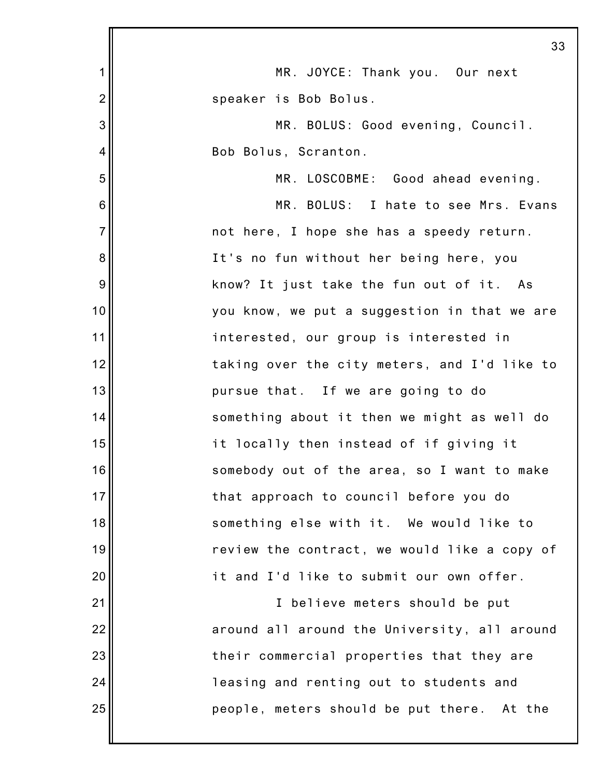|                | 33                                           |
|----------------|----------------------------------------------|
| 1              | MR. JOYCE: Thank you. Our next               |
| $\overline{c}$ | speaker is Bob Bolus.                        |
| 3              | MR. BOLUS: Good evening, Council.            |
| 4              | Bob Bolus, Scranton.                         |
| 5              | MR. LOSCOBME: Good ahead evening.            |
| 6              | MR. BOLUS: I hate to see Mrs. Evans          |
| $\overline{7}$ | not here, I hope she has a speedy return.    |
| 8              | It's no fun without her being here, you      |
| 9              | know? It just take the fun out of it. As     |
| 10             | you know, we put a suggestion in that we are |
| 11             | interested, our group is interested in       |
| 12             | taking over the city meters, and I'd like to |
| 13             | pursue that. If we are going to do           |
| 14             | something about it then we might as well do  |
| 15             | it locally then instead of if giving it      |
| 16             | somebody out of the area, so I want to make  |
| 17             | that approach to council before you do       |
| 18             | something else with it. We would like to     |
| 19             | review the contract, we would like a copy of |
| 20             | it and I'd like to submit our own offer.     |
| 21             | I believe meters should be put               |
| 22             | around all around the University, all around |
| 23             | their commercial properties that they are    |
| 24             | leasing and renting out to students and      |
| 25             | people, meters should be put there. At the   |
|                |                                              |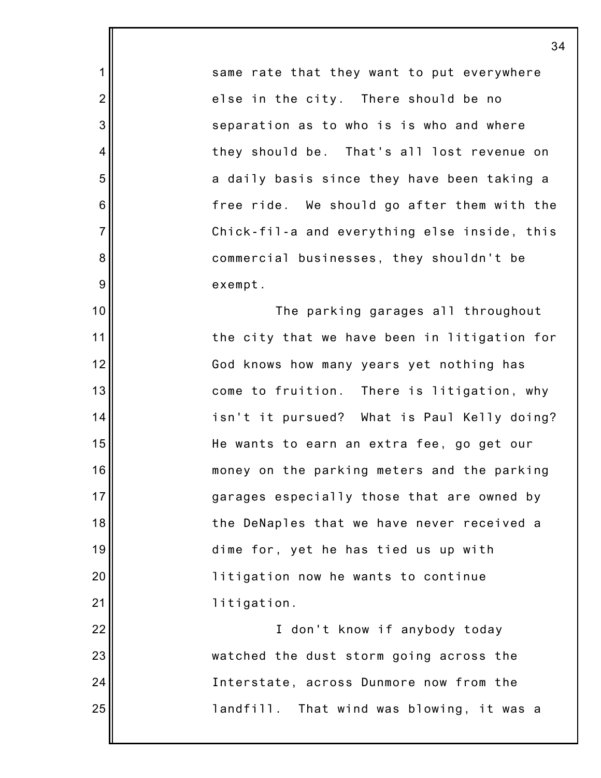same rate that they want to put everywhere else in the city. There should be no separation as to who is is who and where they should be. That's all lost revenue on a daily basis since they have been taking a free ride. We should go after them with the Chick-fil-a and everything else inside, this commercial businesses, they shouldn't be exempt.

1

2

3

4

5

6

7

8

9

10

11

12

13

14

15

16

17

18

19

20

21

22

23

24

25

The parking garages all throughout the city that we have been in litigation for God knows how many years yet nothing has come to fruition. There is litigation, why isn't it pursued? What is Paul Kelly doing? He wants to earn an extra fee, go get our money on the parking meters and the parking garages especially those that are owned by the DeNaples that we have never received a dime for, yet he has tied us up with litigation now he wants to continue litigation.

I don't know if anybody today watched the dust storm going across the Interstate, across Dunmore now from the landfill. That wind was blowing, it was a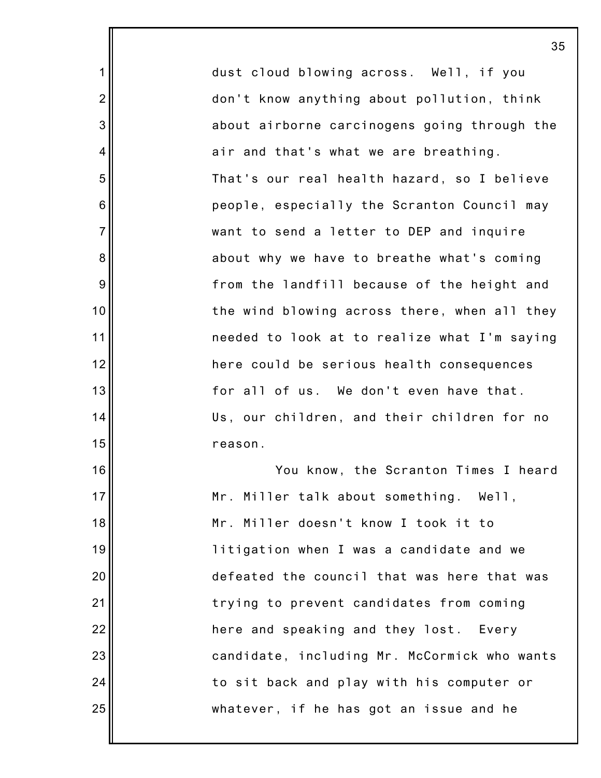dust cloud blowing across. Well, if you don't know anything about pollution, think about airborne carcinogens going through the air and that's what we are breathing. That's our real health hazard, so I believe people, especially the Scranton Council may want to send a letter to DEP and inquire about why we have to breathe what's coming from the landfill because of the height and the wind blowing across there, when all they needed to look at to realize what I'm saying here could be serious health consequences for all of us. We don't even have that. Us, our children, and their children for no reason. You know, the Scranton Times I heard Mr. Miller talk about something. Well,

1

2

3

4

5

6

7

8

9

10

11

12

13

14

15

16

17

18

19

20

21

22

23

24

25

Mr. Miller doesn't know I took it to litigation when I was a candidate and we defeated the council that was here that was trying to prevent candidates from coming here and speaking and they lost. Every candidate, including Mr. McCormick who wants to sit back and play with his computer or whatever, if he has got an issue and he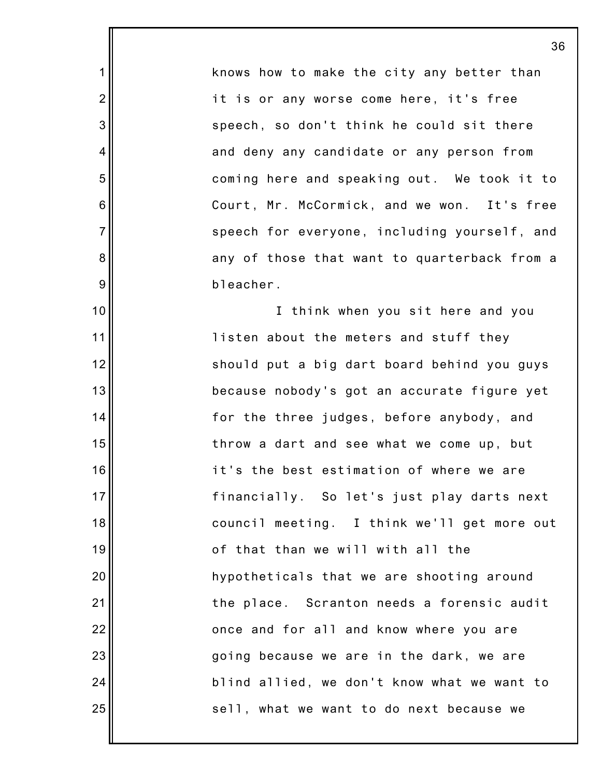knows how to make the city any better than it is or any worse come here, it's free speech, so don't think he could sit there and deny any candidate or any person from coming here and speaking out. We took it to Court, Mr. McCormick, and we won. It's free speech for everyone, including yourself, and any of those that want to quarterback from a bleacher.

1

2

3

4

5

6

7

8

9

10

11

12

13

14

15

16

17

18

19

20

21

22

23

24

25

I think when you sit here and you listen about the meters and stuff they should put a big dart board behind you guys because nobody's got an accurate figure yet for the three judges, before anybody, and throw a dart and see what we come up, but it's the best estimation of where we are financially. So let's just play darts next council meeting. I think we'll get more out of that than we will with all the hypotheticals that we are shooting around the place. Scranton needs a forensic audit once and for all and know where you are going because we are in the dark, we are blind allied, we don't know what we want to sell, what we want to do next because we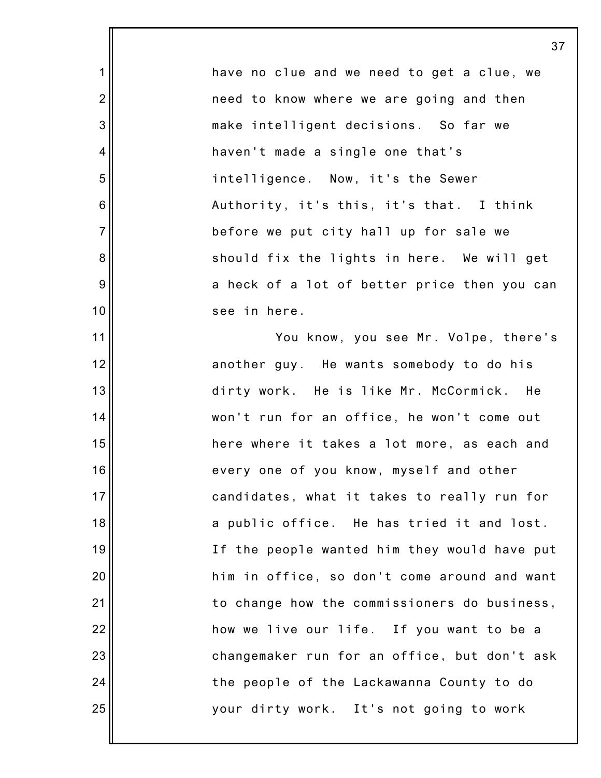have no clue and we need to get a clue, we need to know where we are going and then make intelligent decisions. So far we haven't made a single one that's intelligence. Now, it's the Sewer Authority, it's this, it's that. I think before we put city hall up for sale we should fix the lights in here. We will get a heck of a lot of better price then you can see in here.

1

2

3

4

5

6

7

8

9

10

11

12

13

14

15

16

17

18

19

20

21

22

23

24

25

You know, you see Mr. Volpe, there's another guy. He wants somebody to do his dirty work. He is like Mr. McCormick. He won't run for an office, he won't come out here where it takes a lot more, as each and every one of you know, myself and other candidates, what it takes to really run for a public office. He has tried it and lost. If the people wanted him they would have put him in office, so don't come around and want to change how the commissioners do business, how we live our life. If you want to be a changemaker run for an office, but don't ask the people of the Lackawanna County to do your dirty work. It's not going to work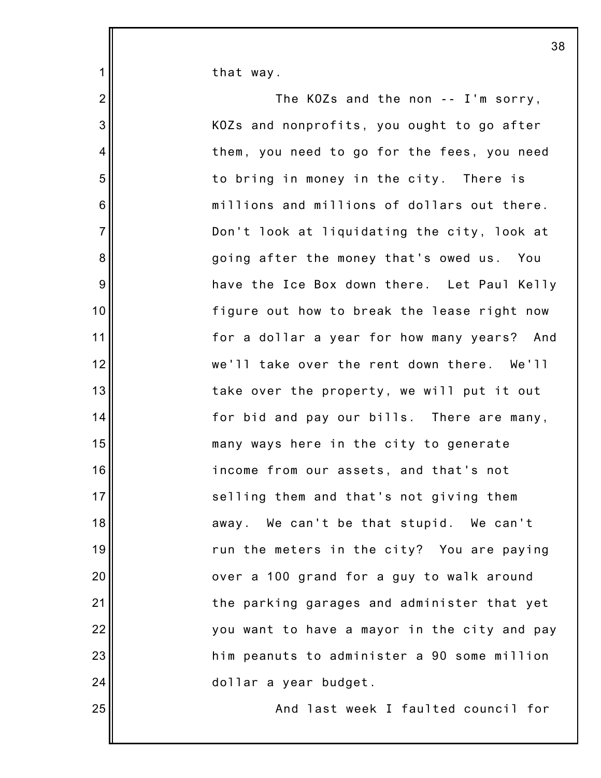that way.

1

2

3

4

5

6

7

8

9

10

11

12

13

14

15

16

17

18

19

20

21

22

23

24

25

The KOZs and the non -- I'm sorry, KOZs and nonprofits, you ought to go after them, you need to go for the fees, you need to bring in money in the city. There is millions and millions of dollars out there. Don't look at liquidating the city, look at going after the money that's owed us. You have the Ice Box down there. Let Paul Kelly figure out how to break the lease right now for a dollar a year for how many years? And we'll take over the rent down there. We'll take over the property, we will put it out for bid and pay our bills. There are many, many ways here in the city to generate income from our assets, and that's not selling them and that's not giving them away. We can't be that stupid. We can't run the meters in the city? You are paying over a 100 grand for a guy to walk around the parking garages and administer that yet you want to have a mayor in the city and pay him peanuts to administer a 90 some million dollar a year budget. And last week I faulted council for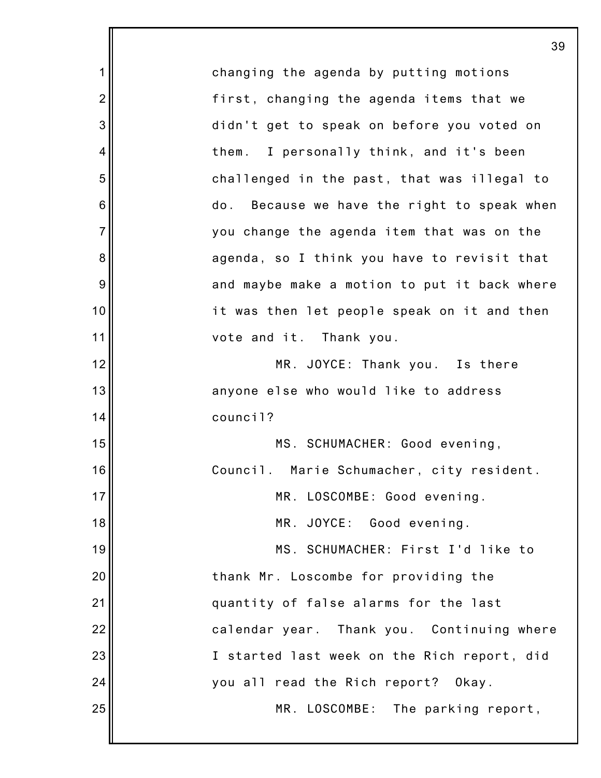|                | 39                                           |
|----------------|----------------------------------------------|
| 1              | changing the agenda by putting motions       |
| $\overline{2}$ | first, changing the agenda items that we     |
| 3              | didn't get to speak on before you voted on   |
| 4              | I personally think, and it's been<br>them.   |
| 5              | challenged in the past, that was illegal to  |
| 6              | do. Because we have the right to speak when  |
| $\overline{7}$ | you change the agenda item that was on the   |
| 8              | agenda, so I think you have to revisit that  |
| 9              | and maybe make a motion to put it back where |
| 10             | it was then let people speak on it and then  |
| 11             | vote and it. Thank you.                      |
| 12             | MR. JOYCE: Thank you. Is there               |
| 13             | anyone else who would like to address        |
| 14             | council?                                     |
| 15             | MS. SCHUMACHER: Good evening,                |
| 16             | Council. Marie Schumacher, city resident.    |
| 17             | MR. LOSCOMBE: Good evening.                  |
| 18             | MR. JOYCE: Good evening.                     |
| 19             | MS. SCHUMACHER: First I'd like to            |
| 20             | thank Mr. Loscombe for providing the         |
| 21             | quantity of false alarms for the last        |
| 22             | calendar year. Thank you. Continuing where   |
| 23             | I started last week on the Rich report, did  |
| 24             | you all read the Rich report? Okay.          |
| 25             | MR. LOSCOMBE: The parking report,            |
|                |                                              |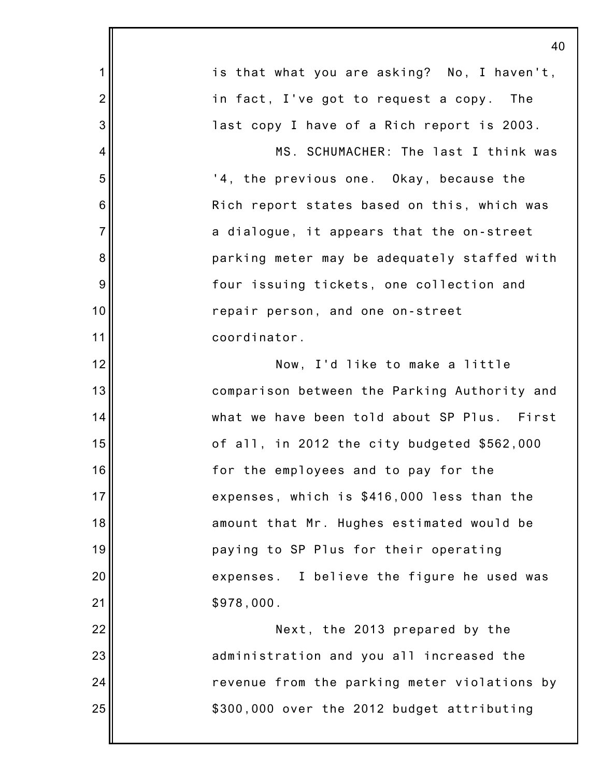|                | 40                                           |
|----------------|----------------------------------------------|
| $\mathbf 1$    | is that what you are asking? No, I haven't,  |
| $\overline{2}$ | in fact, I've got to request a copy. The     |
| 3              | last copy I have of a Rich report is 2003.   |
| $\overline{4}$ | MS. SCHUMACHER: The last I think was         |
| 5              | '4, the previous one. Okay, because the      |
| 6              | Rich report states based on this, which was  |
| $\overline{7}$ | a dialogue, it appears that the on-street    |
| 8              | parking meter may be adequately staffed with |
| 9              | four issuing tickets, one collection and     |
| 10             | repair person, and one on-street             |
| 11             | coordinator.                                 |
| 12             | Now, I'd like to make a little               |
| 13             | comparison between the Parking Authority and |
| 14             | what we have been told about SP Plus. First  |
| 15             | of all, in 2012 the city budgeted \$562,000  |
| 16             | for the employees and to pay for the         |
| 17             | expenses, which is \$416,000 less than the   |
| 18             | amount that Mr. Hughes estimated would be    |
| 19             | paying to SP Plus for their operating        |
| 20             | expenses. I believe the figure he used was   |
| 21             | \$978,000.                                   |
| 22             | Next, the 2013 prepared by the               |
| 23             | administration and you all increased the     |
| 24             | revenue from the parking meter violations by |
| 25             | \$300,000 over the 2012 budget attributing   |
|                |                                              |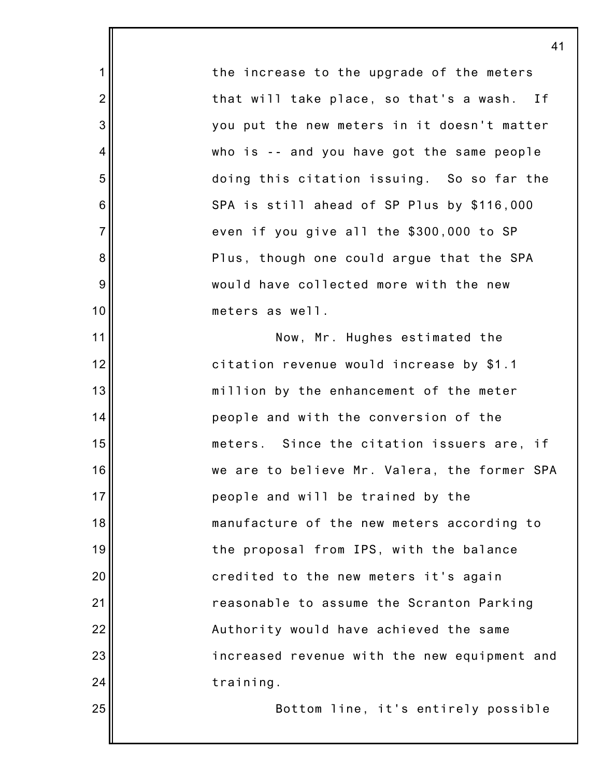the increase to the upgrade of the meters that will take place, so that's a wash. If you put the new meters in it doesn't matter who is -- and you have got the same people doing this citation issuing. So so far the SPA is still ahead of SP Plus by \$116,000 even if you give all the \$300,000 to SP Plus, though one could argue that the SPA would have collected more with the new meters as well.

1

2

3

4

5

6

7

8

9

10

11

12

13

14

15

16

17

18

19

20

21

22

23

24

25

Now, Mr. Hughes estimated the citation revenue would increase by \$1.1 million by the enhancement of the meter people and with the conversion of the meters. Since the citation issuers are, if we are to believe Mr. Valera, the former SPA people and will be trained by the manufacture of the new meters according to the proposal from IPS, with the balance credited to the new meters it's again reasonable to assume the Scranton Parking Authority would have achieved the same increased revenue with the new equipment and training.

Bottom line, it's entirely possible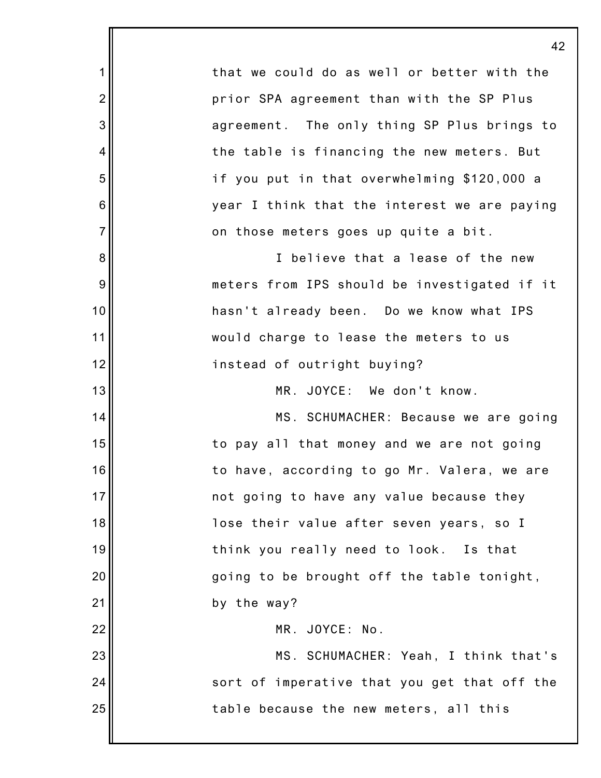|                  | 42                                           |
|------------------|----------------------------------------------|
| $\mathbf 1$      | that we could do as well or better with the  |
| $\overline{2}$   | prior SPA agreement than with the SP Plus    |
| $\mathbf{3}$     | agreement. The only thing SP Plus brings to  |
| 4                | the table is financing the new meters. But   |
| 5                | if you put in that overwhelming \$120,000 a  |
| 6                | year I think that the interest we are paying |
| $\overline{7}$   | on those meters goes up quite a bit.         |
| 8                | I believe that a lease of the new            |
| $\boldsymbol{9}$ | meters from IPS should be investigated if it |
| 10               | hasn't already been. Do we know what IPS     |
| 11               | would charge to lease the meters to us       |
| 12               | instead of outright buying?                  |
| 13               | MR. JOYCE: We don't know.                    |
| 14               | MS. SCHUMACHER: Because we are going         |
| 15               | to pay all that money and we are not going   |
| 16               | to have, according to go Mr. Valera, we are  |
| 17               | not going to have any value because they     |
| 18               | lose their value after seven years, so I     |
| 19               | think you really need to look. Is that       |
| 20               | going to be brought off the table tonight,   |
| 21               | by the way?                                  |
| 22               | MR. JOYCE: No.                               |
| 23               | MS. SCHUMACHER: Yeah, I think that's         |
| 24               | sort of imperative that you get that off the |
| 25               | table because the new meters, all this       |
|                  |                                              |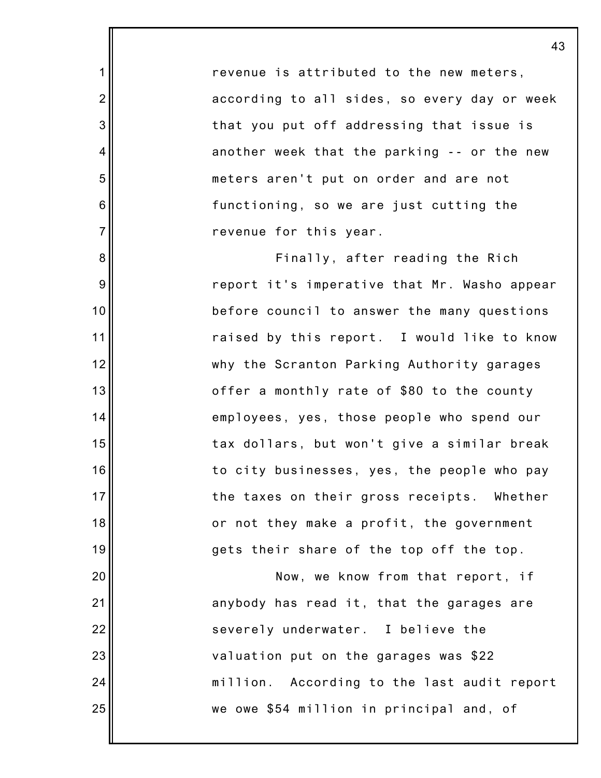revenue is attributed to the new meters, according to all sides, so every day or week that you put off addressing that issue is another week that the parking -- or the new meters aren't put on order and are not functioning, so we are just cutting the revenue for this year.

1

2

3

4

5

6

7

8

9

10

11

12

13

14

15

16

17

18

19

20

21

22

23

24

25

Finally, after reading the Rich report it's imperative that Mr. Washo appear before council to answer the many questions raised by this report. I would like to know why the Scranton Parking Authority garages offer a monthly rate of \$80 to the county employees, yes, those people who spend our tax dollars, but won't give a similar break to city businesses, yes, the people who pay the taxes on their gross receipts. Whether or not they make a profit, the government gets their share of the top off the top.

Now, we know from that report, if anybody has read it, that the garages are severely underwater. I believe the valuation put on the garages was \$22 million. According to the last audit report we owe \$54 million in principal and, of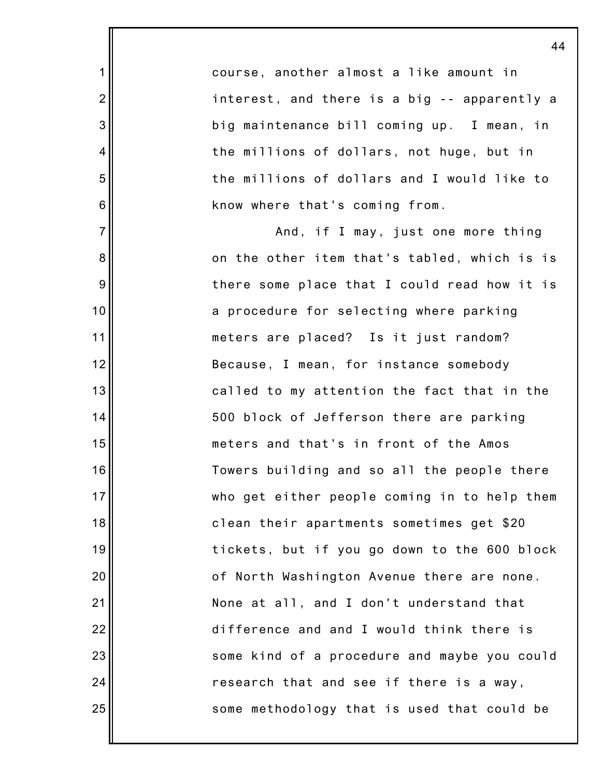course, another almost a like amount in interest, and there is a big -- apparently a big maintenance bill coming up. I mean, in the millions of dollars, not huge, but in the millions of dollars and I would like to know where that's coming from.

1

2

3

4

5

6

7

8

9

10

11

12

13

14

15

16

17

18

19

20

21

22

23

24

25

And, if I may, just one more thing on the other item that's tabled, which is is there some place that I could read how it is a procedure for selecting where parking meters are placed? Is it just random? Because, I mean, for instance somebody called to my attention the fact that in the 500 block of Jefferson there are parking meters and that's in front of the Amos Towers building and so all the people there who get either people coming in to help them clean their apartments sometimes get \$20 tickets, but if you go down to the 600 block of North Washington Avenue there are none. None at all, and I don't understand that difference and and I would think there is some kind of a procedure and maybe you could research that and see if there is a way, some methodology that is used that could be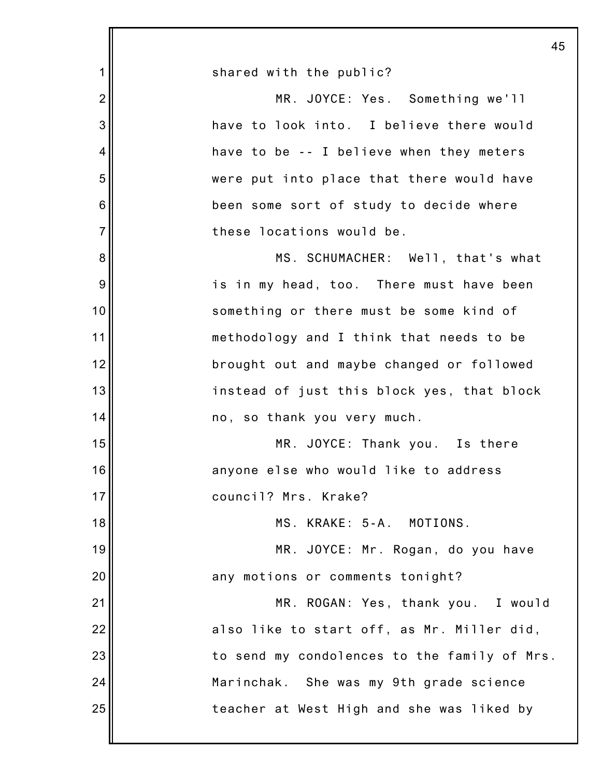|                | 45                                           |  |
|----------------|----------------------------------------------|--|
| $\mathbf 1$    | shared with the public?                      |  |
| $\overline{2}$ | MR. JOYCE: Yes. Something we'll              |  |
| 3              | have to look into. I believe there would     |  |
| 4              | have to be -- I believe when they meters     |  |
| 5              | were put into place that there would have    |  |
| 6              | been some sort of study to decide where      |  |
| $\overline{7}$ | these locations would be.                    |  |
| 8              | MS. SCHUMACHER: Well, that's what            |  |
| 9              | is in my head, too. There must have been     |  |
| 10             | something or there must be some kind of      |  |
| 11             | methodology and I think that needs to be     |  |
| 12             | brought out and maybe changed or followed    |  |
| 13             | instead of just this block yes, that block   |  |
| 14             | no, so thank you very much.                  |  |
| 15             | MR. JOYCE: Thank you. Is there               |  |
| 16             | anyone else who would like to address        |  |
| 17             | council? Mrs. Krake?                         |  |
| 18             | MS. KRAKE: 5-A. MOTIONS.                     |  |
| 19             | MR. JOYCE: Mr. Rogan, do you have            |  |
| 20             | any motions or comments tonight?             |  |
| 21             | MR. ROGAN: Yes, thank you. I would           |  |
| 22             | also like to start off, as Mr. Miller did,   |  |
| 23             | to send my condolences to the family of Mrs. |  |
| 24             | Marinchak. She was my 9th grade science      |  |
| 25             | teacher at West High and she was liked by    |  |
|                |                                              |  |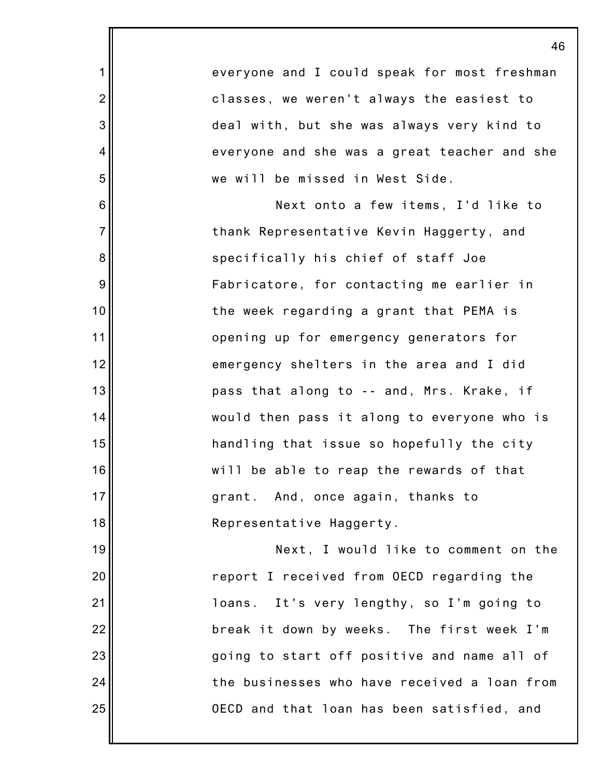|                | 46                                           |
|----------------|----------------------------------------------|
| 1              | everyone and I could speak for most freshman |
| $\overline{2}$ | classes, we weren't always the easiest to    |
| $\mathbf{3}$   | deal with, but she was always very kind to   |
| $\overline{4}$ | everyone and she was a great teacher and she |
| 5              | we will be missed in West Side.              |
| 6              | Next onto a few items, I'd like to           |
| $\overline{7}$ | thank Representative Kevin Haggerty, and     |
| $\bf 8$        | specifically his chief of staff Joe          |
| $9\,$          | Fabricatore, for contacting me earlier in    |
| 10             | the week regarding a grant that PEMA is      |
| 11             | opening up for emergency generators for      |
| 12             | emergency shelters in the area and I did     |
| 13             | pass that along to -- and, Mrs. Krake, if    |
| 14             | would then pass it along to everyone who is  |
| 15             | handling that issue so hopefully the city    |
| 16             | will be able to reap the rewards of that     |
| 17             | grant. And, once again, thanks to            |
| 18             | Representative Haggerty.                     |
| 19             | Next, I would like to comment on the         |
| 20             | report I received from OECD regarding the    |
| 21             | loans. It's very lengthy, so I'm going to    |
| 22             | break it down by weeks. The first week I'm   |
| 23             | going to start off positive and name all of  |
| 24             | the businesses who have received a loan from |
| 25             | OECD and that loan has been satisfied, and   |
|                |                                              |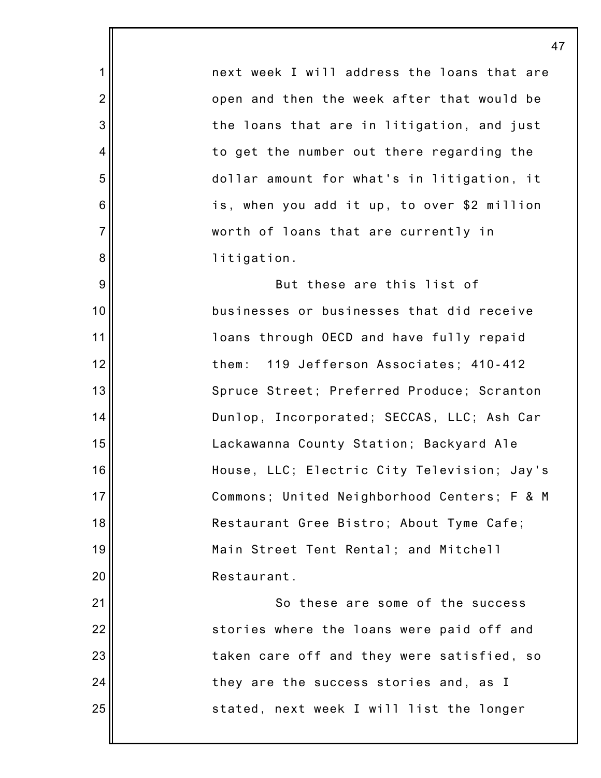next week I will address the loans that are open and then the week after that would be the loans that are in litigation, and just to get the number out there regarding the dollar amount for what's in litigation, it is, when you add it up, to over \$2 million worth of loans that are currently in litigation.

1

2

3

4

5

6

7

8

9

10

11

12

13

14

15

16

17

18

19

20

21

22

23

24

25

But these are this list of businesses or businesses that did receive loans through OECD and have fully repaid them: 119 Jefferson Associates; 410-412 Spruce Street; Preferred Produce; Scranton Dunlop, Incorporated; SECCAS, LLC; Ash Car Lackawanna County Station; Backyard Ale House, LLC; Electric City Television; Jay's Commons; United Neighborhood Centers; F & M Restaurant Gree Bistro; About Tyme Cafe; Main Street Tent Rental; and Mitchell Restaurant.

So these are some of the success stories where the loans were paid off and taken care off and they were satisfied, so they are the success stories and, as I stated, next week I will list the longer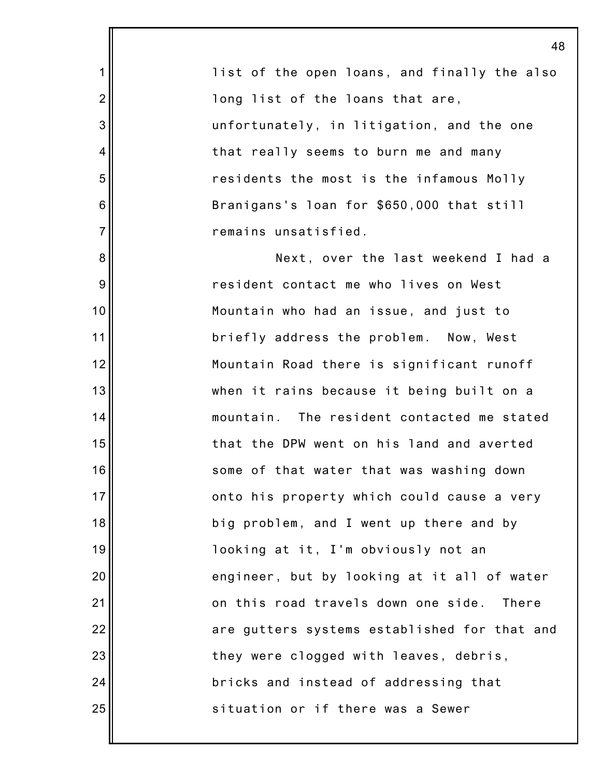1 2 3 4 5 6 7 8 9 10 11 12 13 14 15 16 17 18 19 20 21 22 23 24 25 list of the open loans, and finally the also long list of the loans that are, unfortunately, in litigation, and the one that really seems to burn me and many residents the most is the infamous Molly Branigans's loan for \$650,000 that still remains unsatisfied. Next, over the last weekend I had a resident contact me who lives on West Mountain who had an issue, and just to briefly address the problem. Now, West Mountain Road there is significant runoff when it rains because it being built on a mountain. The resident contacted me stated that the DPW went on his land and averted some of that water that was washing down onto his property which could cause a very big problem, and I went up there and by looking at it, I'm obviously not an engineer, but by looking at it all of water on this road travels down one side. There are gutters systems established for that and they were clogged with leaves, debris, bricks and instead of addressing that situation or if there was a Sewer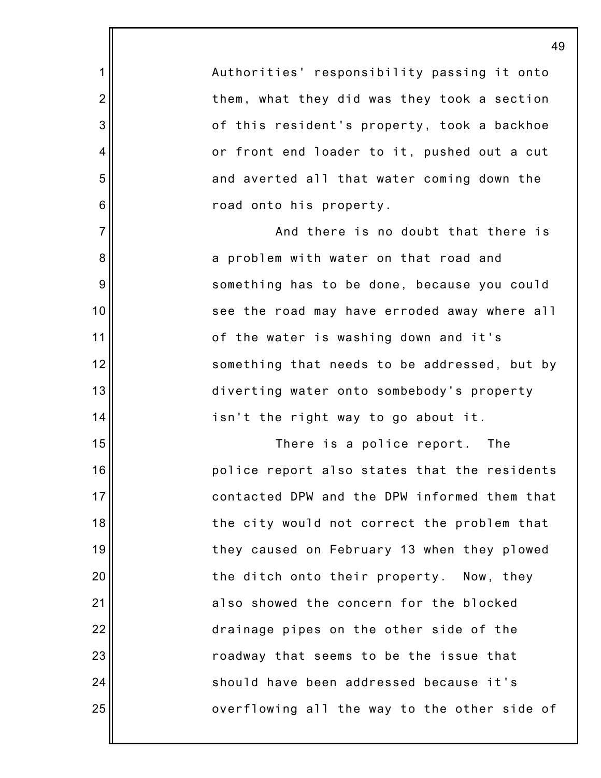Authorities' responsibility passing it onto them, what they did was they took a section of this resident's property, took a backhoe or front end loader to it, pushed out a cut and averted all that water coming down the road onto his property.

1

2

3

4

5

6

7

8

9

10

11

12

13

14

15

16

17

18

19

20

21

22

23

24

25

And there is no doubt that there is a problem with water on that road and something has to be done, because you could see the road may have erroded away where all of the water is washing down and it's something that needs to be addressed, but by diverting water onto sombebody's property isn't the right way to go about it.

There is a police report. The police report also states that the residents contacted DPW and the DPW informed them that the city would not correct the problem that they caused on February 13 when they plowed the ditch onto their property. Now, they also showed the concern for the blocked drainage pipes on the other side of the roadway that seems to be the issue that should have been addressed because it's overflowing all the way to the other side of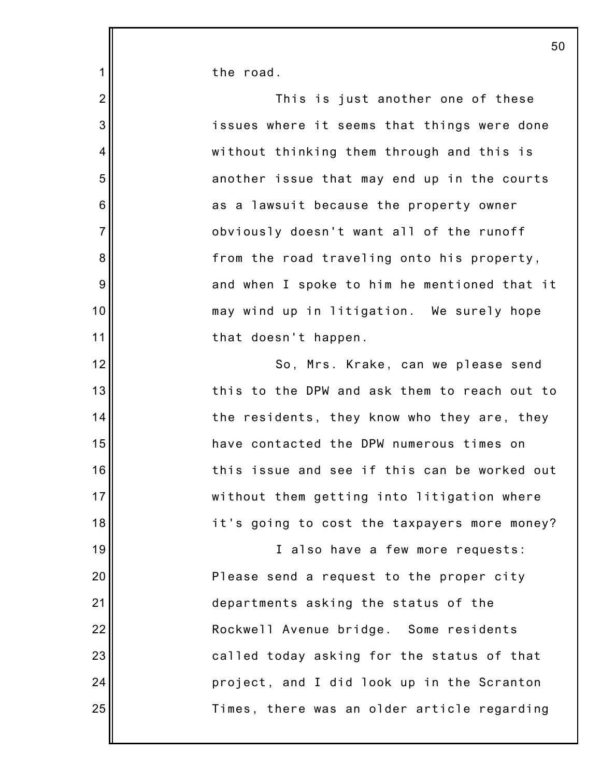the road.

1

2

3

4

5

6

7

8

9

10

11

12

13

14

15

16

17

18

19

20

21

22

23

24

25

This is just another one of these issues where it seems that things were done without thinking them through and this is another issue that may end up in the courts as a lawsuit because the property owner obviously doesn't want all of the runoff from the road traveling onto his property, and when I spoke to him he mentioned that it may wind up in litigation. We surely hope that doesn't happen.

So, Mrs. Krake, can we please send this to the DPW and ask them to reach out to the residents, they know who they are, they have contacted the DPW numerous times on this issue and see if this can be worked out without them getting into litigation where it's going to cost the taxpayers more money?

I also have a few more requests: Please send a request to the proper city departments asking the status of the Rockwell Avenue bridge. Some residents called today asking for the status of that project, and I did look up in the Scranton Times, there was an older article regarding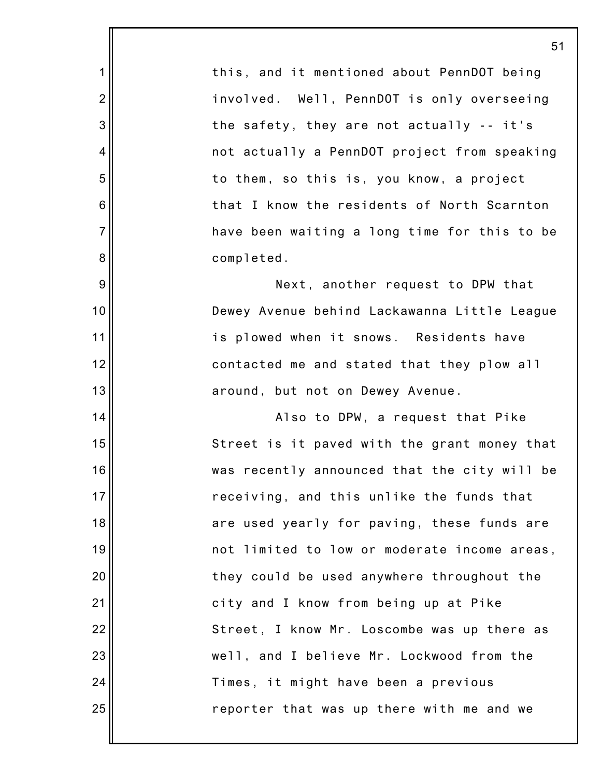this, and it mentioned about PennDOT being involved. Well, PennDOT is only overseeing the safety, they are not actually -- it's not actually a PennDOT project from speaking to them, so this is, you know, a project that I know the residents of North Scarnton have been waiting a long time for this to be completed.

1

2

3

4

5

6

7

8

9

10

11

12

13

14

15

16

17

18

19

20

21

22

23

24

25

Next, another request to DPW that Dewey Avenue behind Lackawanna Little League is plowed when it snows. Residents have contacted me and stated that they plow all around, but not on Dewey Avenue.

Also to DPW, a request that Pike Street is it paved with the grant money that was recently announced that the city will be receiving, and this unlike the funds that are used yearly for paving, these funds are not limited to low or moderate income areas, they could be used anywhere throughout the city and I know from being up at Pike Street, I know Mr. Loscombe was up there as well, and I believe Mr. Lockwood from the Times, it might have been a previous reporter that was up there with me and we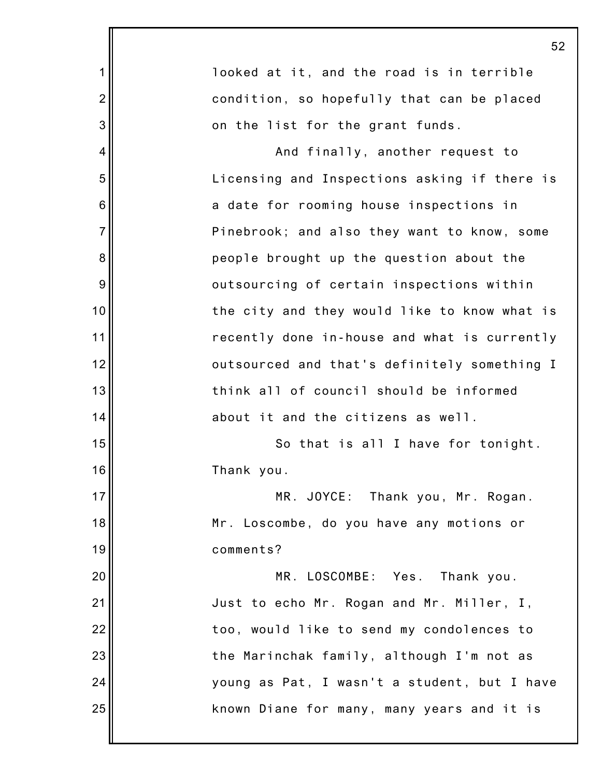|                | 52                                           |
|----------------|----------------------------------------------|
| 1              | looked at it, and the road is in terrible    |
| $\overline{2}$ | condition, so hopefully that can be placed   |
| 3              | on the list for the grant funds.             |
| 4              | And finally, another request to              |
| 5              | Licensing and Inspections asking if there is |
| 6              | a date for rooming house inspections in      |
| $\overline{7}$ | Pinebrook; and also they want to know, some  |
| 8              | people brought up the question about the     |
| 9              | outsourcing of certain inspections within    |
| 10             | the city and they would like to know what is |
| 11             | recently done in-house and what is currently |
| 12             | outsourced and that's definitely something I |
| 13             | think all of council should be informed      |
| 14             | about it and the citizens as well.           |
| 15             | So that is all I have for tonight.           |
| 16             | Thank you.                                   |
| 17             | MR. JOYCE: Thank you, Mr. Rogan.             |
| 18             | Mr. Loscombe, do you have any motions or     |
| 19             | comments?                                    |
| 20             | MR. LOSCOMBE: Yes. Thank you.                |
| 21             | Just to echo Mr. Rogan and Mr. Miller, I,    |
| 22             | too, would like to send my condolences to    |
| 23             | the Marinchak family, although I'm not as    |
| 24             | young as Pat, I wasn't a student, but I have |
| 25             | known Diane for many, many years and it is   |
|                |                                              |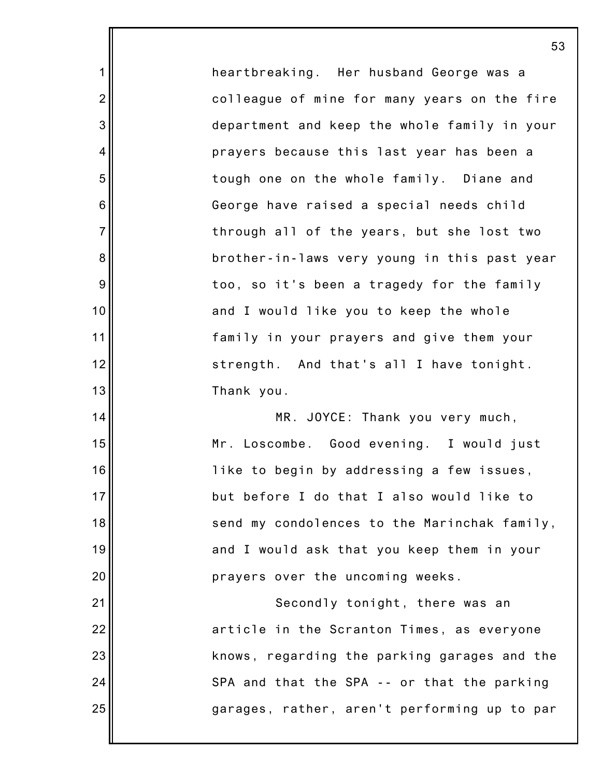heartbreaking. Her husband George was a colleague of mine for many years on the fire department and keep the whole family in your prayers because this last year has been a tough one on the whole family. Diane and George have raised a special needs child through all of the years, but she lost two brother-in-laws very young in this past year too, so it's been a tragedy for the family and I would like you to keep the whole family in your prayers and give them your strength. And that's all I have tonight. Thank you.

1

2

3

4

5

6

7

8

9

10

11

12

13

14

15

16

17

18

19

20

21

22

23

24

25

MR. JOYCE: Thank you very much, Mr. Loscombe. Good evening. I would just like to begin by addressing a few issues, but before I do that I also would like to send my condolences to the Marinchak family, and I would ask that you keep them in your prayers over the uncoming weeks.

Secondly tonight, there was an article in the Scranton Times, as everyone knows, regarding the parking garages and the SPA and that the SPA -- or that the parking garages, rather, aren't performing up to par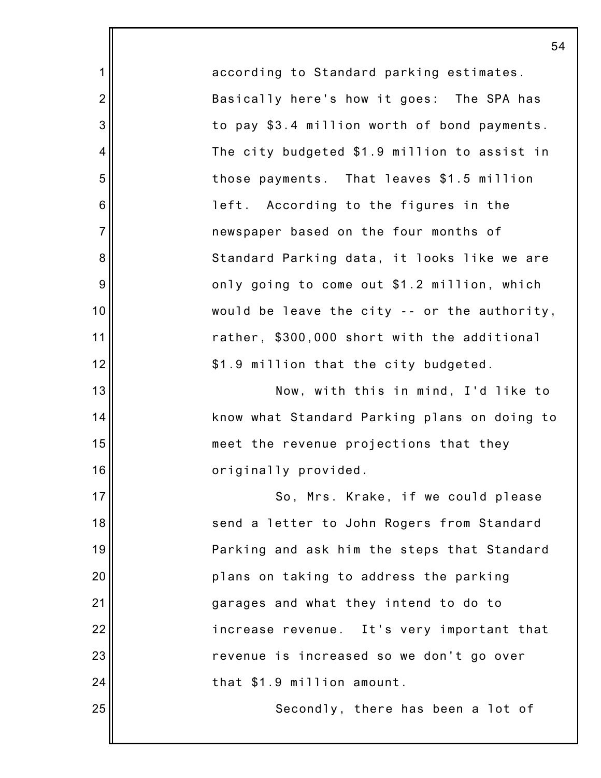according to Standard parking estimates. Basically here's how it goes: The SPA has to pay \$3.4 million worth of bond payments. The city budgeted \$1.9 million to assist in those payments. That leaves \$1.5 million left. According to the figures in the newspaper based on the four months of Standard Parking data, it looks like we are only going to come out \$1.2 million, which would be leave the city -- or the authority, rather, \$300,000 short with the additional \$1.9 million that the city budgeted.

1

2

3

4

5

6

7

8

9

10

11

12

13

14

15

16

25

Now, with this in mind, I'd like to know what Standard Parking plans on doing to meet the revenue projections that they originally provided.

17 18 19 20 21 22 23 24 So, Mrs. Krake, if we could please send a letter to John Rogers from Standard Parking and ask him the steps that Standard plans on taking to address the parking garages and what they intend to do to increase revenue. It's very important that revenue is increased so we don't go over that \$1.9 million amount.

Secondly, there has been a lot of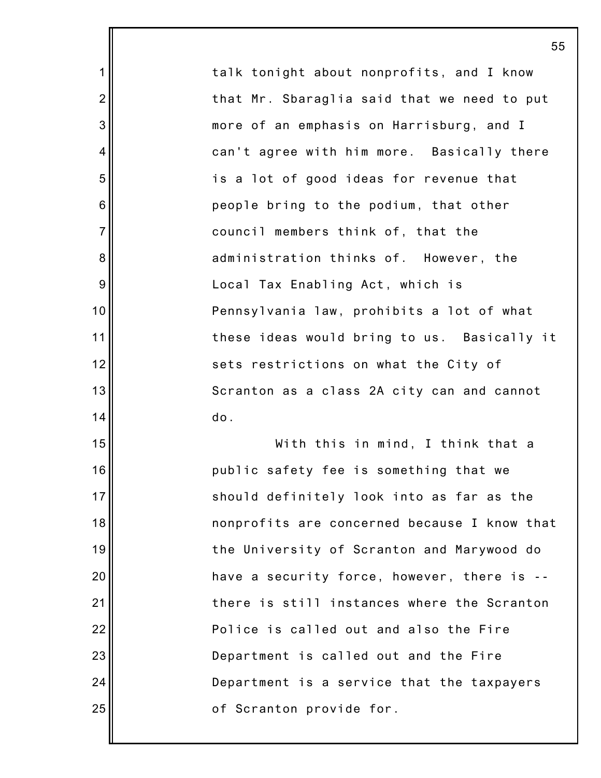talk tonight about nonprofits, and I know that Mr. Sbaraglia said that we need to put more of an emphasis on Harrisburg, and I can't agree with him more. Basically there is a lot of good ideas for revenue that people bring to the podium, that other council members think of, that the administration thinks of. However, the Local Tax Enabling Act, which is Pennsylvania law, prohibits a lot of what these ideas would bring to us. Basically it sets restrictions on what the City of Scranton as a class 2A city can and cannot do.

1

2

3

4

5

6

7

8

9

10

11

12

13

14

15

16

17

18

19

20

21

22

23

24

25

With this in mind, I think that a public safety fee is something that we should definitely look into as far as the nonprofits are concerned because I know that the University of Scranton and Marywood do have a security force, however, there is - there is still instances where the Scranton Police is called out and also the Fire Department is called out and the Fire Department is a service that the taxpayers of Scranton provide for.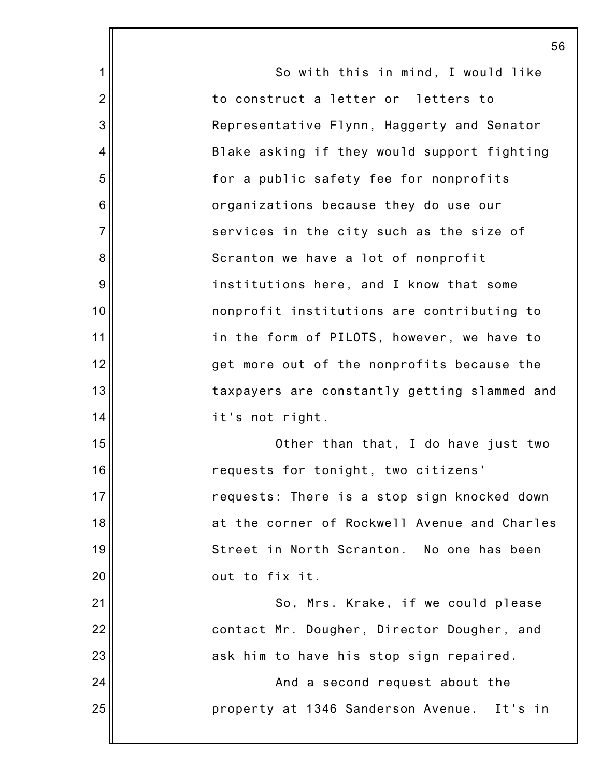1 2 3 4 5 6 7 8 9 10 11 12 13 14 15 16 17 18 19 20 21 22 23 24 25 56 So with this in mind, I would like to construct a letter or letters to Representative Flynn, Haggerty and Senator Blake asking if they would support fighting for a public safety fee for nonprofits organizations because they do use our services in the city such as the size of Scranton we have a lot of nonprofit institutions here, and I know that some nonprofit institutions are contributing to in the form of PILOTS, however, we have to get more out of the nonprofits because the taxpayers are constantly getting slammed and it's not right. Other than that, I do have just two requests for tonight, two citizens' requests: There is a stop sign knocked down at the corner of Rockwell Avenue and Charles Street in North Scranton. No one has been out to fix it. So, Mrs. Krake, if we could please contact Mr. Dougher, Director Dougher, and ask him to have his stop sign repaired. And a second request about the property at 1346 Sanderson Avenue. It's in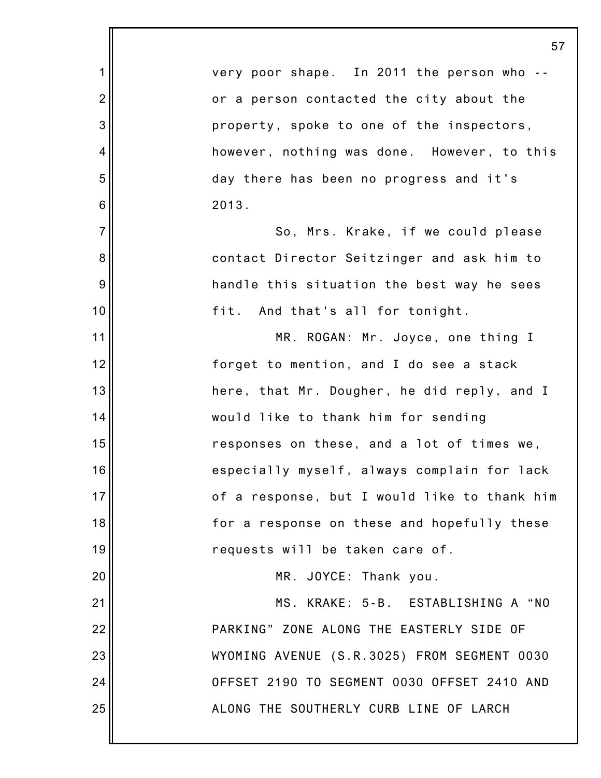|                 | 57                                           |
|-----------------|----------------------------------------------|
| 1               | very poor shape. In 2011 the person who --   |
| $\overline{2}$  | or a person contacted the city about the     |
| 3               | property, spoke to one of the inspectors,    |
| 4               | however, nothing was done. However, to this  |
| 5               | day there has been no progress and it's      |
| $6\phantom{1}6$ | 2013.                                        |
| $\overline{7}$  | So, Mrs. Krake, if we could please           |
| 8               | contact Director Seitzinger and ask him to   |
| 9               | handle this situation the best way he sees   |
| 10              | fit. And that's all for tonight.             |
| 11              | MR. ROGAN: Mr. Joyce, one thing I            |
| 12              | forget to mention, and I do see a stack      |
| 13              | here, that Mr. Dougher, he did reply, and I  |
| 14              | would like to thank him for sending          |
| 15              | responses on these, and a lot of times we,   |
| 16              | especially myself, always complain for lack  |
| 17              | of a response, but I would like to thank him |
| 18              | for a response on these and hopefully these  |
| 19              | requests will be taken care of.              |
| 20              | MR. JOYCE: Thank you.                        |
| 21              | MS. KRAKE: 5-B. ESTABLISHING A "NO           |
| 22              | PARKING" ZONE ALONG THE EASTERLY SIDE OF     |
| 23              | WYOMING AVENUE (S.R.3025) FROM SEGMENT 0030  |
| 24              | OFFSET 2190 TO SEGMENT 0030 OFFSET 2410 AND  |
| 25              | ALONG THE SOUTHERLY CURB LINE OF LARCH       |
|                 |                                              |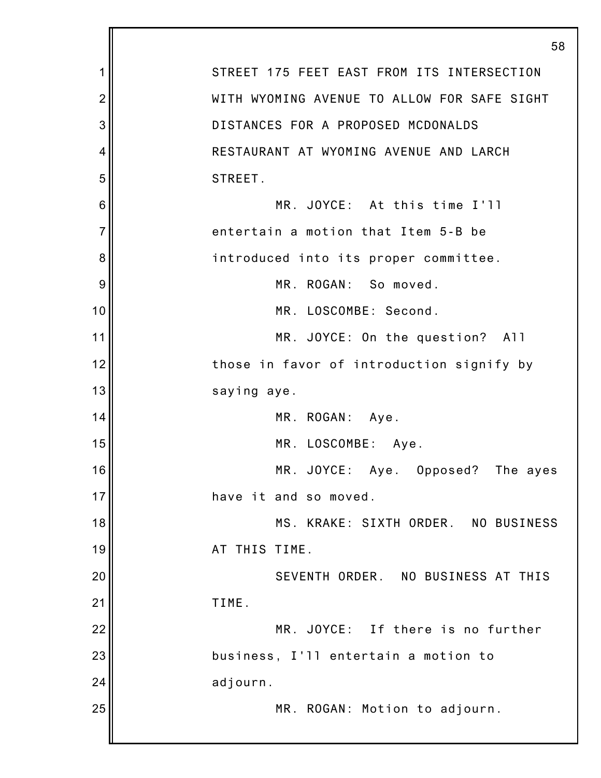|                | 58                                          |
|----------------|---------------------------------------------|
| 1              | STREET 175 FEET EAST FROM ITS INTERSECTION  |
| $\overline{2}$ | WITH WYOMING AVENUE TO ALLOW FOR SAFE SIGHT |
| 3              | DISTANCES FOR A PROPOSED MCDONALDS          |
| 4              | RESTAURANT AT WYOMING AVENUE AND LARCH      |
| 5              | STREET.                                     |
| 6              | MR. JOYCE: At this time I'll                |
| $\overline{7}$ | entertain a motion that Item 5-B be         |
| 8              | introduced into its proper committee.       |
| 9              | MR. ROGAN: So moved.                        |
| 10             | MR. LOSCOMBE: Second.                       |
| 11             | MR. JOYCE: On the question? All             |
| 12             | those in favor of introduction signify by   |
| 13             | saying aye.                                 |
| 14             | MR. ROGAN: Aye.                             |
| 15             | MR. LOSCOMBE: Aye.                          |
| 16             | MR. JOYCE: Aye. Opposed? The ayes           |
| 17             | have it and so moved.                       |
| 18             | MS. KRAKE: SIXTH ORDER. NO BUSINESS         |
| 19             | AT THIS TIME.                               |
| 20             | SEVENTH ORDER. NO BUSINESS AT THIS          |
| 21             | TIME.                                       |
| 22             | MR. JOYCE: If there is no further           |
| 23             | business, I'll entertain a motion to        |
| 24             | adjourn.                                    |
| 25             | MR. ROGAN: Motion to adjourn.               |
|                |                                             |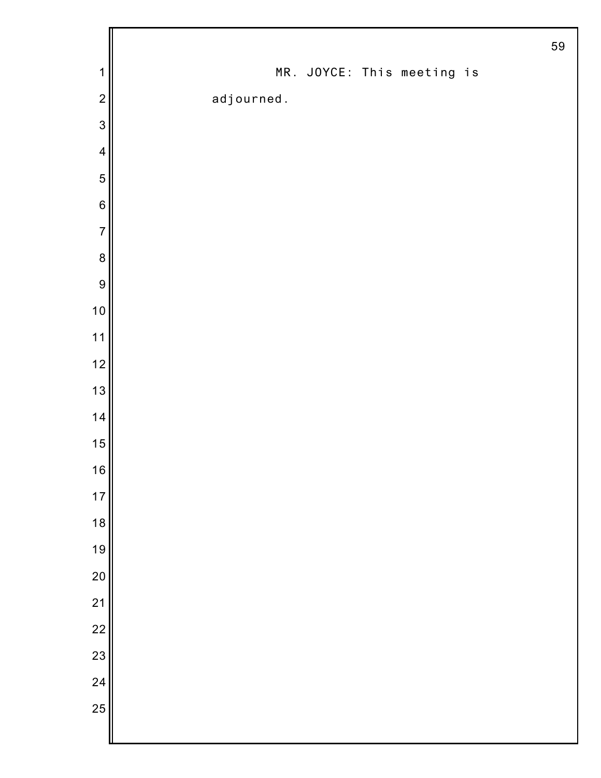|                |            |  |                            | 59 |
|----------------|------------|--|----------------------------|----|
| $\mathbf 1$    |            |  | MR. JOYCE: This meeting is |    |
| $\overline{2}$ | adjourned. |  |                            |    |
| 3              |            |  |                            |    |
| $\overline{4}$ |            |  |                            |    |
| 5              |            |  |                            |    |
| $\,6$          |            |  |                            |    |
| $\overline{7}$ |            |  |                            |    |
| $\bf 8$        |            |  |                            |    |
| 9              |            |  |                            |    |
| 10             |            |  |                            |    |
| $11$           |            |  |                            |    |
| 12             |            |  |                            |    |
| 13             |            |  |                            |    |
| 14             |            |  |                            |    |
| 15             |            |  |                            |    |
| 16             |            |  |                            |    |
| $17$           |            |  |                            |    |
| 18             |            |  |                            |    |
| 19             |            |  |                            |    |
| 20             |            |  |                            |    |
| $\frac{1}{21}$ |            |  |                            |    |
| $\frac{1}{2}$  |            |  |                            |    |
| 23             |            |  |                            |    |
| 24             |            |  |                            |    |
| 25             |            |  |                            |    |
|                |            |  |                            |    |